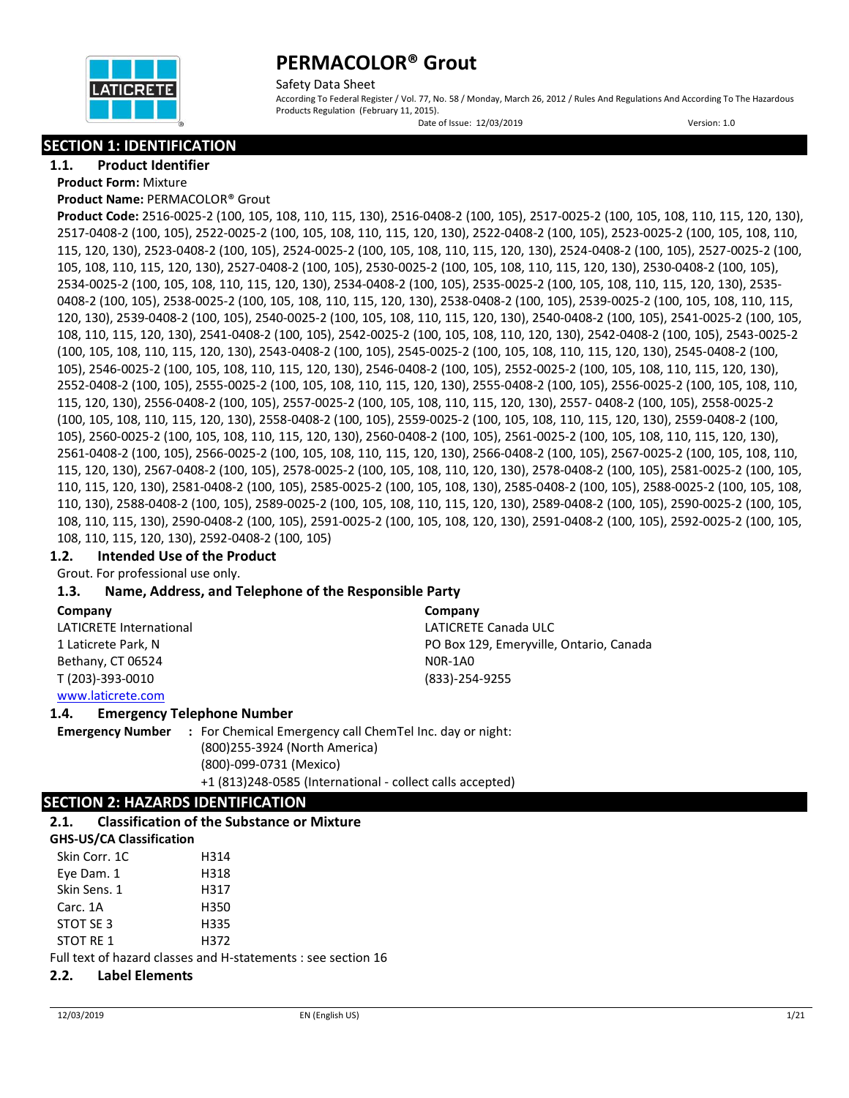

Safety Data Sheet According To Federal Register / Vol. 77, No. 58 / Monday, March 26, 2012 / Rules And Regulations And According To The Hazardous Products Regulation (February 11, 2015).

Date of Issue: 12/03/2019 Version: 1.0

### **SECTION 1: IDENTIFICATION**

**1.1. Product Identifier**

**Product Form:** Mixture

**Product Name:** PERMACOLOR® Grout

**Product Code:** 2516-0025-2 (100, 105, 108, 110, 115, 130), 2516-0408-2 (100, 105), 2517-0025-2 (100, 105, 108, 110, 115, 120, 130), 2517-0408-2 (100, 105), 2522-0025-2 (100, 105, 108, 110, 115, 120, 130), 2522-0408-2 (100, 105), 2523-0025-2 (100, 105, 108, 110, 115, 120, 130), 2523-0408-2 (100, 105), 2524-0025-2 (100, 105, 108, 110, 115, 120, 130), 2524-0408-2 (100, 105), 2527-0025-2 (100, 105, 108, 110, 115, 120, 130), 2527-0408-2 (100, 105), 2530-0025-2 (100, 105, 108, 110, 115, 120, 130), 2530-0408-2 (100, 105), 2534-0025-2 (100, 105, 108, 110, 115, 120, 130), 2534-0408-2 (100, 105), 2535-0025-2 (100, 105, 108, 110, 115, 120, 130), 2535- 0408-2 (100, 105), 2538-0025-2 (100, 105, 108, 110, 115, 120, 130), 2538-0408-2 (100, 105), 2539-0025-2 (100, 105, 108, 110, 115, 120, 130), 2539-0408-2 (100, 105), 2540-0025-2 (100, 105, 108, 110, 115, 120, 130), 2540-0408-2 (100, 105), 2541-0025-2 (100, 105, 108, 110, 115, 120, 130), 2541-0408-2 (100, 105), 2542-0025-2 (100, 105, 108, 110, 120, 130), 2542-0408-2 (100, 105), 2543-0025-2 (100, 105, 108, 110, 115, 120, 130), 2543-0408-2 (100, 105), 2545-0025-2 (100, 105, 108, 110, 115, 120, 130), 2545-0408-2 (100, 105), 2546-0025-2 (100, 105, 108, 110, 115, 120, 130), 2546-0408-2 (100, 105), 2552-0025-2 (100, 105, 108, 110, 115, 120, 130), 2552-0408-2 (100, 105), 2555-0025-2 (100, 105, 108, 110, 115, 120, 130), 2555-0408-2 (100, 105), 2556-0025-2 (100, 105, 108, 110, 115, 120, 130), 2556-0408-2 (100, 105), 2557-0025-2 (100, 105, 108, 110, 115, 120, 130), 2557- 0408-2 (100, 105), 2558-0025-2 (100, 105, 108, 110, 115, 120, 130), 2558-0408-2 (100, 105), 2559-0025-2 (100, 105, 108, 110, 115, 120, 130), 2559-0408-2 (100, 105), 2560-0025-2 (100, 105, 108, 110, 115, 120, 130), 2560-0408-2 (100, 105), 2561-0025-2 (100, 105, 108, 110, 115, 120, 130), 2561-0408-2 (100, 105), 2566-0025-2 (100, 105, 108, 110, 115, 120, 130), 2566-0408-2 (100, 105), 2567-0025-2 (100, 105, 108, 110, 115, 120, 130), 2567-0408-2 (100, 105), 2578-0025-2 (100, 105, 108, 110, 120, 130), 2578-0408-2 (100, 105), 2581-0025-2 (100, 105, 110, 115, 120, 130), 2581-0408-2 (100, 105), 2585-0025-2 (100, 105, 108, 130), 2585-0408-2 (100, 105), 2588-0025-2 (100, 105, 108, 110, 130), 2588-0408-2 (100, 105), 2589-0025-2 (100, 105, 108, 110, 115, 120, 130), 2589-0408-2 (100, 105), 2590-0025-2 (100, 105, 108, 110, 115, 130), 2590-0408-2 (100, 105), 2591-0025-2 (100, 105, 108, 120, 130), 2591-0408-2 (100, 105), 2592-0025-2 (100, 105, 108, 110, 115, 120, 130), 2592-0408-2 (100, 105)

### **1.2. Intended Use of the Product**

Grout. For professional use only.

### **1.3. Name, Address, and Telephone of the Responsible Party**

**Company** 

LATICRETE International 1 Laticrete Park, N Bethany, CT 06524 T (203)-393-0010 [www.laticrete.com](http://www.laticrete.com/) 

**Company** LATICRETE Canada ULC PO Box 129, Emeryville, Ontario, Canada N0R-1A0 (833)-254-9255

### **1.4. Emergency Telephone Number**

**Emergency Number :** For Chemical Emergency call ChemTel Inc. day or night: (800)255-3924 (North America) (800)-099-0731 (Mexico) +1 (813)248-0585 (International - collect calls accepted)

### **SECTION 2: HAZARDS IDENTIFICATION**

### **2.1. Classification of the Substance or Mixture**

| <b>GHS-US/CA Classification</b> |                                                               |
|---------------------------------|---------------------------------------------------------------|
| Skin Corr. 1C                   | H314                                                          |
| Eye Dam. 1                      | H318                                                          |
| Skin Sens. 1                    | H317                                                          |
| Carc. 1A                        | H350                                                          |
| STOT SE 3                       | H335                                                          |
| STOT RE 1                       | H372                                                          |
|                                 | Full text of hazard classes and H-statements ; see section 16 |

Full text of hazard classes and H-statements : see section 16

### **2.2. Label Elements**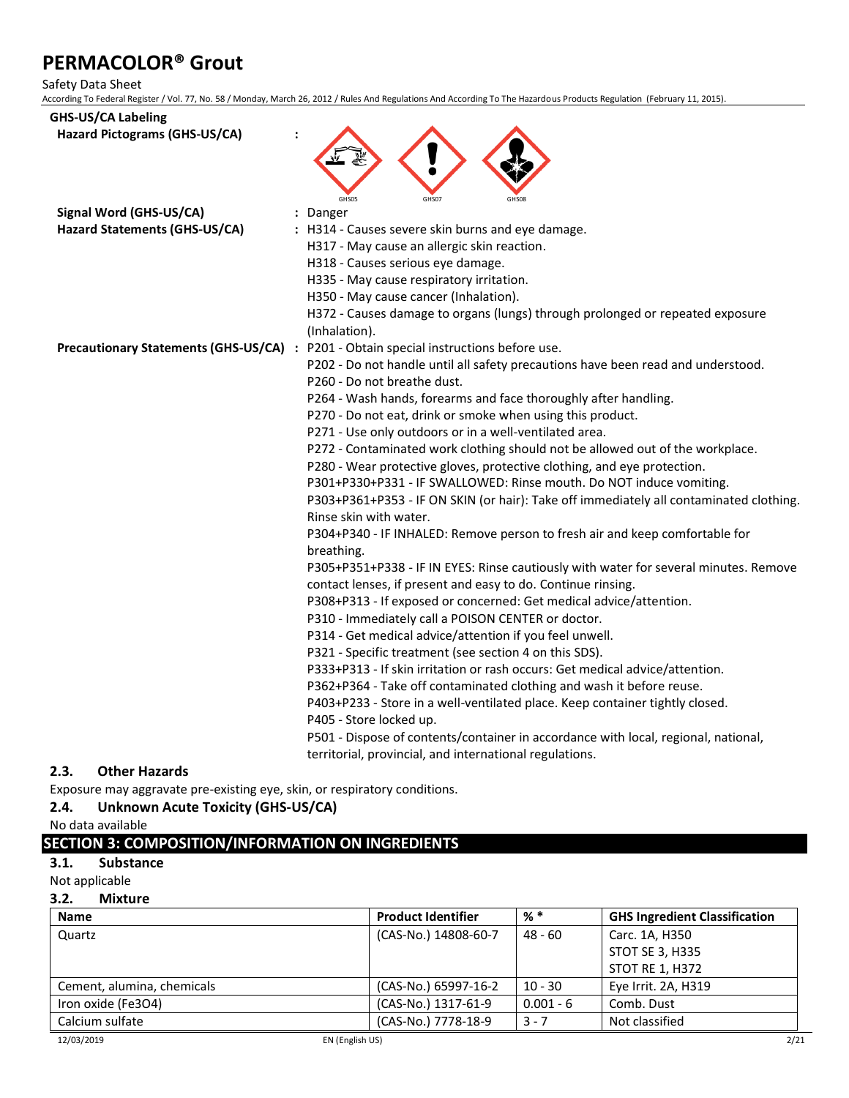#### Safety Data Sheet

According To Federal Register / Vol. 77, No. 58 / Monday, March 26, 2012 / Rules And Regulations And According To The Hazardous Products Regulation (February 11, 2015).

| <b>GHS-US/CA Labeling</b><br>Hazard Pictograms (GHS-US/CA) |                                                                                                                                                      |
|------------------------------------------------------------|------------------------------------------------------------------------------------------------------------------------------------------------------|
| Signal Word (GHS-US/CA)<br>Hazard Statements (GHS-US/CA)   | GHS05<br>GHS07<br><b>GHS03</b><br>: Danger<br>: H314 - Causes severe skin burns and eye damage.                                                      |
|                                                            | H317 - May cause an allergic skin reaction.                                                                                                          |
|                                                            | H318 - Causes serious eye damage.                                                                                                                    |
|                                                            | H335 - May cause respiratory irritation.                                                                                                             |
|                                                            | H350 - May cause cancer (Inhalation).                                                                                                                |
|                                                            | H372 - Causes damage to organs (lungs) through prolonged or repeated exposure<br>(Inhalation).                                                       |
|                                                            | Precautionary Statements (GHS-US/CA) : P201 - Obtain special instructions before use.                                                                |
|                                                            | P202 - Do not handle until all safety precautions have been read and understood.                                                                     |
|                                                            | P260 - Do not breathe dust.                                                                                                                          |
|                                                            | P264 - Wash hands, forearms and face thoroughly after handling.                                                                                      |
|                                                            | P270 - Do not eat, drink or smoke when using this product.                                                                                           |
|                                                            | P271 - Use only outdoors or in a well-ventilated area.                                                                                               |
|                                                            | P272 - Contaminated work clothing should not be allowed out of the workplace.                                                                        |
|                                                            | P280 - Wear protective gloves, protective clothing, and eye protection.                                                                              |
|                                                            | P301+P330+P331 - IF SWALLOWED: Rinse mouth. Do NOT induce vomiting.                                                                                  |
|                                                            | P303+P361+P353 - IF ON SKIN (or hair): Take off immediately all contaminated clothing.<br>Rinse skin with water.                                     |
|                                                            | P304+P340 - IF INHALED: Remove person to fresh air and keep comfortable for                                                                          |
|                                                            | breathing.                                                                                                                                           |
|                                                            | P305+P351+P338 - IF IN EYES: Rinse cautiously with water for several minutes. Remove<br>contact lenses, if present and easy to do. Continue rinsing. |
|                                                            | P308+P313 - If exposed or concerned: Get medical advice/attention.                                                                                   |
|                                                            | P310 - Immediately call a POISON CENTER or doctor.                                                                                                   |
|                                                            | P314 - Get medical advice/attention if you feel unwell.                                                                                              |
|                                                            | P321 - Specific treatment (see section 4 on this SDS).                                                                                               |
|                                                            | P333+P313 - If skin irritation or rash occurs: Get medical advice/attention.                                                                         |
|                                                            | P362+P364 - Take off contaminated clothing and wash it before reuse.                                                                                 |
|                                                            | P403+P233 - Store in a well-ventilated place. Keep container tightly closed.                                                                         |
|                                                            | P405 - Store locked up.                                                                                                                              |
|                                                            | P501 - Dispose of contents/container in accordance with local, regional, national,                                                                   |
|                                                            | territorial, provincial, and international regulations.                                                                                              |
|                                                            |                                                                                                                                                      |

#### **2.3. Other Hazards**

Exposure may aggravate pre-existing eye, skin, or respiratory conditions.

### **2.4. Unknown Acute Toxicity (GHS-US/CA)**

No data available

### **SECTION 3: COMPOSITION/INFORMATION ON INGREDIENTS**

### **3.1. Substance**

Not applicable

### **3.2. Mixture**

| <b>Name</b>                | <b>Product Identifier</b> | % *         | <b>GHS Ingredient Classification</b> |
|----------------------------|---------------------------|-------------|--------------------------------------|
| Quartz                     | (CAS-No.) 14808-60-7      | 48 - 60     | Carc. 1A, H350                       |
|                            |                           |             | <b>STOT SE 3, H335</b>               |
|                            |                           |             | STOT RE 1, H372                      |
| Cement, alumina, chemicals | (CAS-No.) 65997-16-2      | $10 - 30$   | Eye Irrit. 2A, H319                  |
| Iron oxide (Fe3O4)         | (CAS-No.) 1317-61-9       | $0.001 - 6$ | Comb. Dust                           |
| Calcium sulfate            | (CAS-No.) 7778-18-9       | $3 - 7$     | Not classified                       |
| 12/03/2019                 | EN (English US)           |             | 2/21                                 |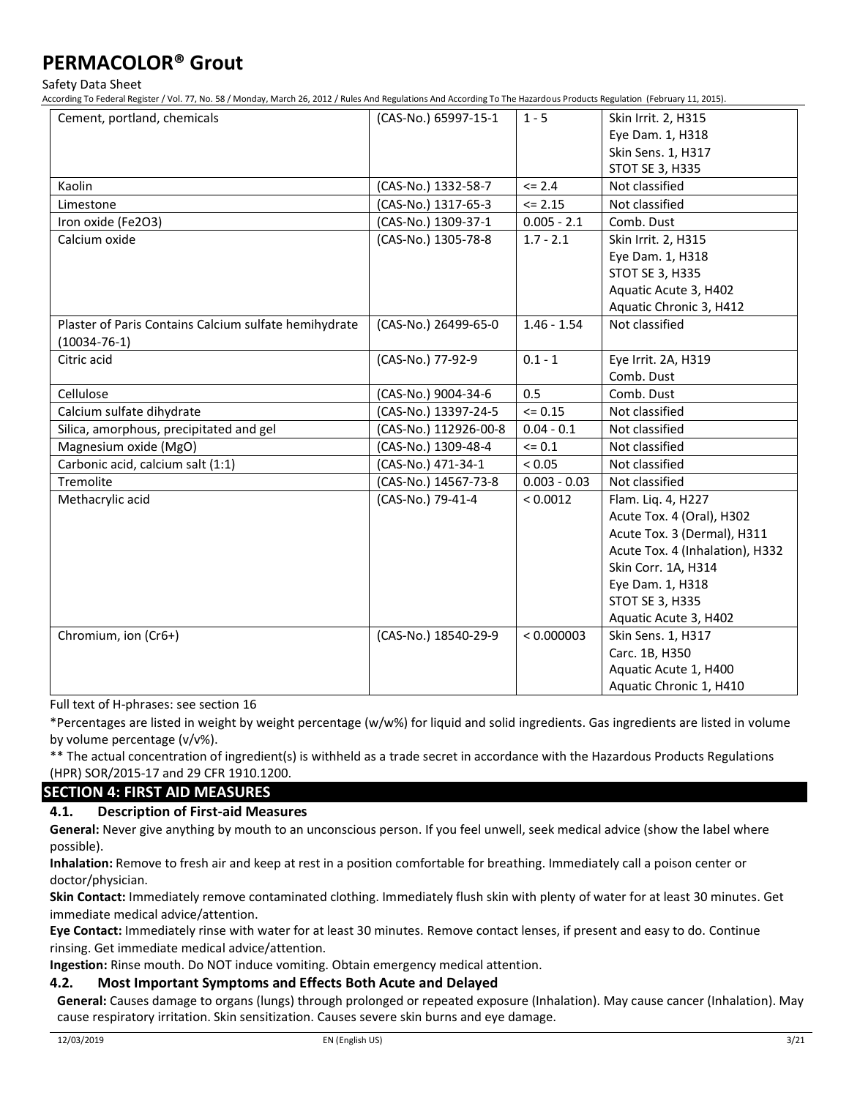Safety Data Sheet

According To Federal Register / Vol. 77, No. 58 / Monday, March 26, 2012 / Rules And Regulations And According To The Hazardous Products Regulation (February 11, 2015).

| Cement, portland, chemicals                           | (CAS-No.) 65997-15-1  | $1 - 5$        | Skin Irrit. 2, H315             |
|-------------------------------------------------------|-----------------------|----------------|---------------------------------|
|                                                       |                       |                | Eye Dam. 1, H318                |
|                                                       |                       |                | Skin Sens. 1, H317              |
|                                                       |                       |                | <b>STOT SE 3, H335</b>          |
| Kaolin                                                |                       | $\le$ 2.4      |                                 |
|                                                       | (CAS-No.) 1332-58-7   |                | Not classified                  |
| Limestone                                             | (CAS-No.) 1317-65-3   | $\le$ 2.15     | Not classified                  |
| Iron oxide (Fe2O3)                                    | (CAS-No.) 1309-37-1   | $0.005 - 2.1$  | Comb. Dust                      |
| Calcium oxide                                         | (CAS-No.) 1305-78-8   | $1.7 - 2.1$    | Skin Irrit. 2, H315             |
|                                                       |                       |                | Eye Dam. 1, H318                |
|                                                       |                       |                | <b>STOT SE 3, H335</b>          |
|                                                       |                       |                | Aquatic Acute 3, H402           |
|                                                       |                       |                | Aquatic Chronic 3, H412         |
| Plaster of Paris Contains Calcium sulfate hemihydrate | (CAS-No.) 26499-65-0  | $1.46 - 1.54$  | Not classified                  |
| $(10034 - 76 - 1)$                                    |                       |                |                                 |
| Citric acid                                           | (CAS-No.) 77-92-9     | $0.1 - 1$      | Eye Irrit. 2A, H319             |
|                                                       |                       |                | Comb. Dust                      |
| Cellulose                                             | (CAS-No.) 9004-34-6   | 0.5            | Comb. Dust                      |
| Calcium sulfate dihydrate                             | (CAS-No.) 13397-24-5  | $= 0.15$       | Not classified                  |
| Silica, amorphous, precipitated and gel               | (CAS-No.) 112926-00-8 | $0.04 - 0.1$   | Not classified                  |
| Magnesium oxide (MgO)                                 | (CAS-No.) 1309-48-4   | $\leq 0.1$     | Not classified                  |
| Carbonic acid, calcium salt (1:1)                     | (CAS-No.) 471-34-1    | < 0.05         | Not classified                  |
| Tremolite                                             | (CAS-No.) 14567-73-8  | $0.003 - 0.03$ | Not classified                  |
| Methacrylic acid                                      | (CAS-No.) 79-41-4     | < 0.0012       | Flam. Liq. 4, H227              |
|                                                       |                       |                | Acute Tox. 4 (Oral), H302       |
|                                                       |                       |                | Acute Tox. 3 (Dermal), H311     |
|                                                       |                       |                | Acute Tox. 4 (Inhalation), H332 |
|                                                       |                       |                | Skin Corr. 1A, H314             |
|                                                       |                       |                | Eye Dam. 1, H318                |
|                                                       |                       |                | <b>STOT SE 3, H335</b>          |
|                                                       |                       |                | Aquatic Acute 3, H402           |
| Chromium, ion (Cr6+)                                  | (CAS-No.) 18540-29-9  | < 0.000003     | Skin Sens. 1, H317              |
|                                                       |                       |                | Carc. 1B, H350                  |
|                                                       |                       |                | Aquatic Acute 1, H400           |
|                                                       |                       |                | Aquatic Chronic 1, H410         |

Full text of H-phrases: see section 16

\*Percentages are listed in weight by weight percentage (w/w%) for liquid and solid ingredients. Gas ingredients are listed in volume by volume percentage (v/v%).

\*\* The actual concentration of ingredient(s) is withheld as a trade secret in accordance with the Hazardous Products Regulations (HPR) SOR/2015-17 and 29 CFR 1910.1200.

### **SECTION 4: FIRST AID MEASURES**

### **4.1. Description of First-aid Measures**

**General:** Never give anything by mouth to an unconscious person. If you feel unwell, seek medical advice (show the label where possible).

**Inhalation:** Remove to fresh air and keep at rest in a position comfortable for breathing. Immediately call a poison center or doctor/physician.

**Skin Contact:** Immediately remove contaminated clothing. Immediately flush skin with plenty of water for at least 30 minutes. Get immediate medical advice/attention.

**Eye Contact:** Immediately rinse with water for at least 30 minutes. Remove contact lenses, if present and easy to do. Continue rinsing. Get immediate medical advice/attention.

**Ingestion:** Rinse mouth. Do NOT induce vomiting. Obtain emergency medical attention.

### **4.2. Most Important Symptoms and Effects Both Acute and Delayed**

**General:** Causes damage to organs (lungs) through prolonged or repeated exposure (Inhalation). May cause cancer (Inhalation). May cause respiratory irritation. Skin sensitization. Causes severe skin burns and eye damage.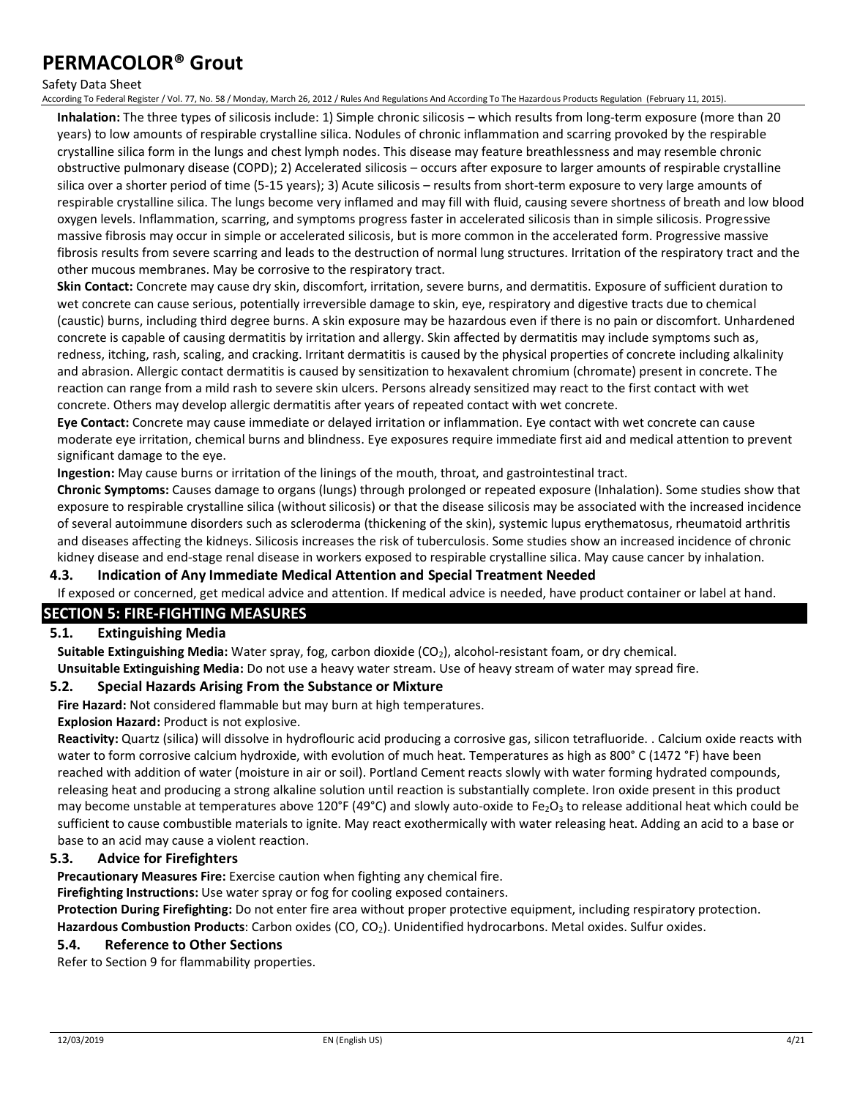#### Safety Data Sheet

According To Federal Register / Vol. 77, No. 58 / Monday, March 26, 2012 / Rules And Regulations And According To The Hazardous Products Regulation (February 11, 2015).

**Inhalation:** The three types of silicosis include: 1) Simple chronic silicosis – which results from long-term exposure (more than 20 years) to low amounts of respirable crystalline silica. Nodules of chronic inflammation and scarring provoked by the respirable crystalline silica form in the lungs and chest lymph nodes. This disease may feature breathlessness and may resemble chronic obstructive pulmonary disease (COPD); 2) Accelerated silicosis – occurs after exposure to larger amounts of respirable crystalline silica over a shorter period of time (5-15 years); 3) Acute silicosis – results from short-term exposure to very large amounts of respirable crystalline silica. The lungs become very inflamed and may fill with fluid, causing severe shortness of breath and low blood oxygen levels. Inflammation, scarring, and symptoms progress faster in accelerated silicosis than in simple silicosis. Progressive massive fibrosis may occur in simple or accelerated silicosis, but is more common in the accelerated form. Progressive massive fibrosis results from severe scarring and leads to the destruction of normal lung structures. Irritation of the respiratory tract and the other mucous membranes. May be corrosive to the respiratory tract.

**Skin Contact:** Concrete may cause dry skin, discomfort, irritation, severe burns, and dermatitis. Exposure of sufficient duration to wet concrete can cause serious, potentially irreversible damage to skin, eye, respiratory and digestive tracts due to chemical (caustic) burns, including third degree burns. A skin exposure may be hazardous even if there is no pain or discomfort. Unhardened concrete is capable of causing dermatitis by irritation and allergy. Skin affected by dermatitis may include symptoms such as, redness, itching, rash, scaling, and cracking. Irritant dermatitis is caused by the physical properties of concrete including alkalinity and abrasion. Allergic contact dermatitis is caused by sensitization to hexavalent chromium (chromate) present in concrete. The reaction can range from a mild rash to severe skin ulcers. Persons already sensitized may react to the first contact with wet concrete. Others may develop allergic dermatitis after years of repeated contact with wet concrete.

**Eye Contact:** Concrete may cause immediate or delayed irritation or inflammation. Eye contact with wet concrete can cause moderate eye irritation, chemical burns and blindness. Eye exposures require immediate first aid and medical attention to prevent significant damage to the eye.

**Ingestion:** May cause burns or irritation of the linings of the mouth, throat, and gastrointestinal tract.

**Chronic Symptoms:** Causes damage to organs (lungs) through prolonged or repeated exposure (Inhalation). Some studies show that exposure to respirable crystalline silica (without silicosis) or that the disease silicosis may be associated with the increased incidence of several autoimmune disorders such as scleroderma (thickening of the skin), systemic lupus erythematosus, rheumatoid arthritis and diseases affecting the kidneys. Silicosis increases the risk of tuberculosis. Some studies show an increased incidence of chronic kidney disease and end-stage renal disease in workers exposed to respirable crystalline silica. May cause cancer by inhalation.

#### **4.3. Indication of Any Immediate Medical Attention and Special Treatment Needed**

If exposed or concerned, get medical advice and attention. If medical advice is needed, have product container or label at hand.

### **SECTION 5: FIRE-FIGHTING MEASURES**

### **5.1. Extinguishing Media**

**Suitable Extinguishing Media:** Water spray, fog, carbon dioxide (CO<sub>2</sub>), alcohol-resistant foam, or dry chemical.

**Unsuitable Extinguishing Media:** Do not use a heavy water stream. Use of heavy stream of water may spread fire.

### **5.2. Special Hazards Arising From the Substance or Mixture**

**Fire Hazard:** Not considered flammable but may burn at high temperatures.

#### **Explosion Hazard:** Product is not explosive.

**Reactivity:** Quartz (silica) will dissolve in hydroflouric acid producing a corrosive gas, silicon tetrafluoride. . Calcium oxide reacts with water to form corrosive calcium hydroxide, with evolution of much heat. Temperatures as high as 800° C (1472 °F) have been reached with addition of water (moisture in air or soil). Portland Cement reacts slowly with water forming hydrated compounds, releasing heat and producing a strong alkaline solution until reaction is substantially complete. Iron oxide present in this product may become unstable at temperatures above 120°F (49°C) and slowly auto-oxide to Fe<sub>2</sub>O<sub>3</sub> to release additional heat which could be sufficient to cause combustible materials to ignite. May react exothermically with water releasing heat. Adding an acid to a base or base to an acid may cause a violent reaction.

#### **5.3. Advice for Firefighters**

**Precautionary Measures Fire:** Exercise caution when fighting any chemical fire.

**Firefighting Instructions:** Use water spray or fog for cooling exposed containers.

**Protection During Firefighting:** Do not enter fire area without proper protective equipment, including respiratory protection.

Hazardous Combustion Products: Carbon oxides (CO, CO<sub>2</sub>). Unidentified hydrocarbons. Metal oxides. Sulfur oxides.

### **5.4. Reference to Other Sections**

Refer to Section 9 for flammability properties.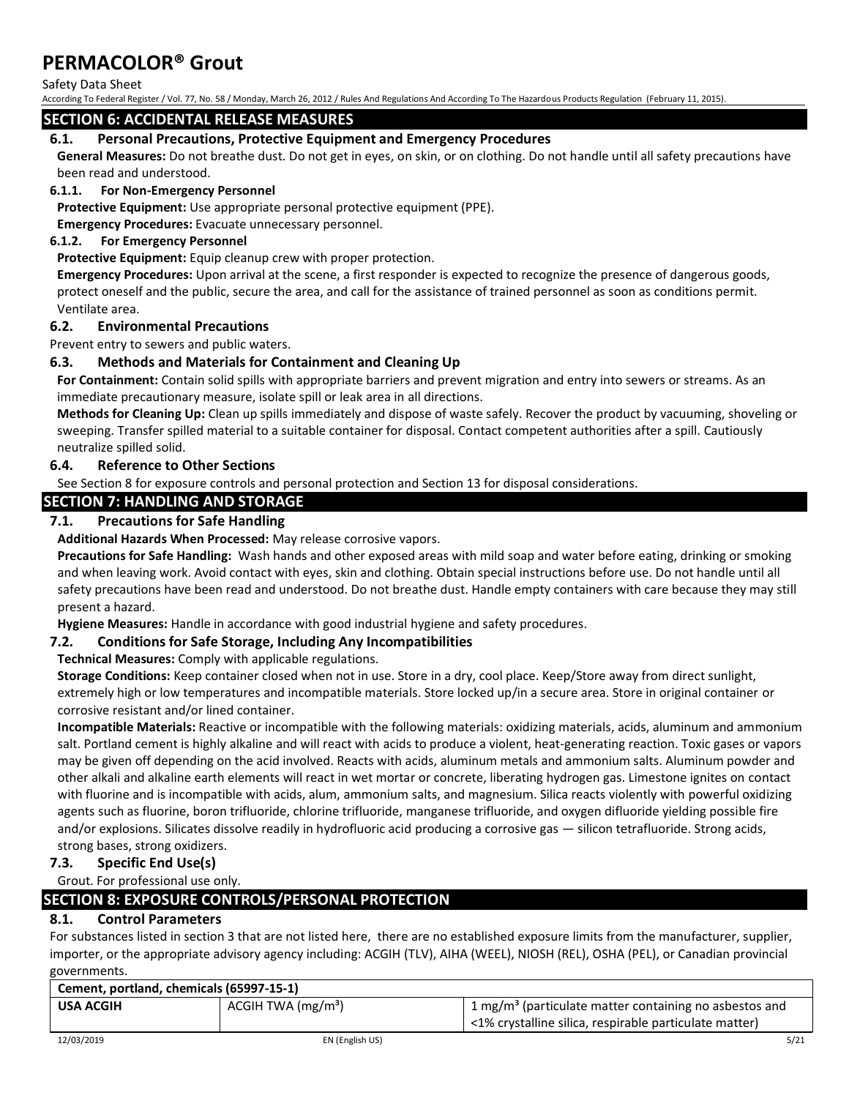Safety Data Sheet

According To Federal Register / Vol. 77, No. 58 / Monday, March 26, 2012 / Rules And Regulations And According To The Hazardous Products Regulation (February 11, 2015).

### **SECTION 6: ACCIDENTAL RELEASE MEASURES**

### **6.1. Personal Precautions, Protective Equipment and Emergency Procedures**

**General Measures:** Do not breathe dust. Do not get in eyes, on skin, or on clothing. Do not handle until all safety precautions have been read and understood.

#### **6.1.1. For Non-Emergency Personnel**

**Protective Equipment:** Use appropriate personal protective equipment (PPE).

**Emergency Procedures:** Evacuate unnecessary personnel.

#### **6.1.2. For Emergency Personnel**

**Protective Equipment:** Equip cleanup crew with proper protection.

**Emergency Procedures:** Upon arrival at the scene, a first responder is expected to recognize the presence of dangerous goods, protect oneself and the public, secure the area, and call for the assistance of trained personnel as soon as conditions permit. Ventilate area.

### **6.2. Environmental Precautions**

Prevent entry to sewers and public waters.

### **6.3. Methods and Materials for Containment and Cleaning Up**

**For Containment:** Contain solid spills with appropriate barriers and prevent migration and entry into sewers or streams. As an immediate precautionary measure, isolate spill or leak area in all directions.

**Methods for Cleaning Up:** Clean up spills immediately and dispose of waste safely. Recover the product by vacuuming, shoveling or sweeping. Transfer spilled material to a suitable container for disposal. Contact competent authorities after a spill. Cautiously neutralize spilled solid.

### **6.4. Reference to Other Sections**

See Section 8 for exposure controls and personal protection and Section 13 for disposal considerations.

### **SECTION 7: HANDLING AND STORAGE**

### **7.1. Precautions for Safe Handling**

**Additional Hazards When Processed:** May release corrosive vapors.

**Precautions for Safe Handling:** Wash hands and other exposed areas with mild soap and water before eating, drinking or smoking and when leaving work. Avoid contact with eyes, skin and clothing. Obtain special instructions before use. Do not handle until all safety precautions have been read and understood. Do not breathe dust. Handle empty containers with care because they may still present a hazard.

**Hygiene Measures:** Handle in accordance with good industrial hygiene and safety procedures.

### **7.2. Conditions for Safe Storage, Including Any Incompatibilities**

**Technical Measures:** Comply with applicable regulations.

**Storage Conditions:** Keep container closed when not in use. Store in a dry, cool place. Keep/Store away from direct sunlight, extremely high or low temperatures and incompatible materials. Store locked up/in a secure area. Store in original container or corrosive resistant and/or lined container.

**Incompatible Materials:** Reactive or incompatible with the following materials: oxidizing materials, acids, aluminum and ammonium salt. Portland cement is highly alkaline and will react with acids to produce a violent, heat-generating reaction. Toxic gases or vapors may be given off depending on the acid involved. Reacts with acids, aluminum metals and ammonium salts. Aluminum powder and other alkali and alkaline earth elements will react in wet mortar or concrete, liberating hydrogen gas. Limestone ignites on contact with fluorine and is incompatible with acids, alum, ammonium salts, and magnesium. Silica reacts violently with powerful oxidizing agents such as fluorine, boron trifluoride, chlorine trifluoride, manganese trifluoride, and oxygen difluoride yielding possible fire and/or explosions. Silicates dissolve readily in hydrofluoric acid producing a corrosive gas — silicon tetrafluoride. Strong acids, strong bases, strong oxidizers.

### **7.3. Specific End Use(s)**

Grout. For professional use only.

### **SECTION 8: EXPOSURE CONTROLS/PERSONAL PROTECTION**

### **8.1. Control Parameters**

For substances listed in section 3 that are not listed here, there are no established exposure limits from the manufacturer, supplier, importer, or the appropriate advisory agency including: ACGIH (TLV), AIHA (WEEL), NIOSH (REL), OSHA (PEL), or Canadian provincial governments.

| Cement, portland, chemicals (65997-15-1) |                                |                                                                      |
|------------------------------------------|--------------------------------|----------------------------------------------------------------------|
| USA ACGIH                                | ACGIH TWA (mg/m <sup>3</sup> ) | $1$ mg/m <sup>3</sup> (particulate matter containing no asbestos and |
|                                          |                                | <1% crystalline silica, respirable particulate matter)               |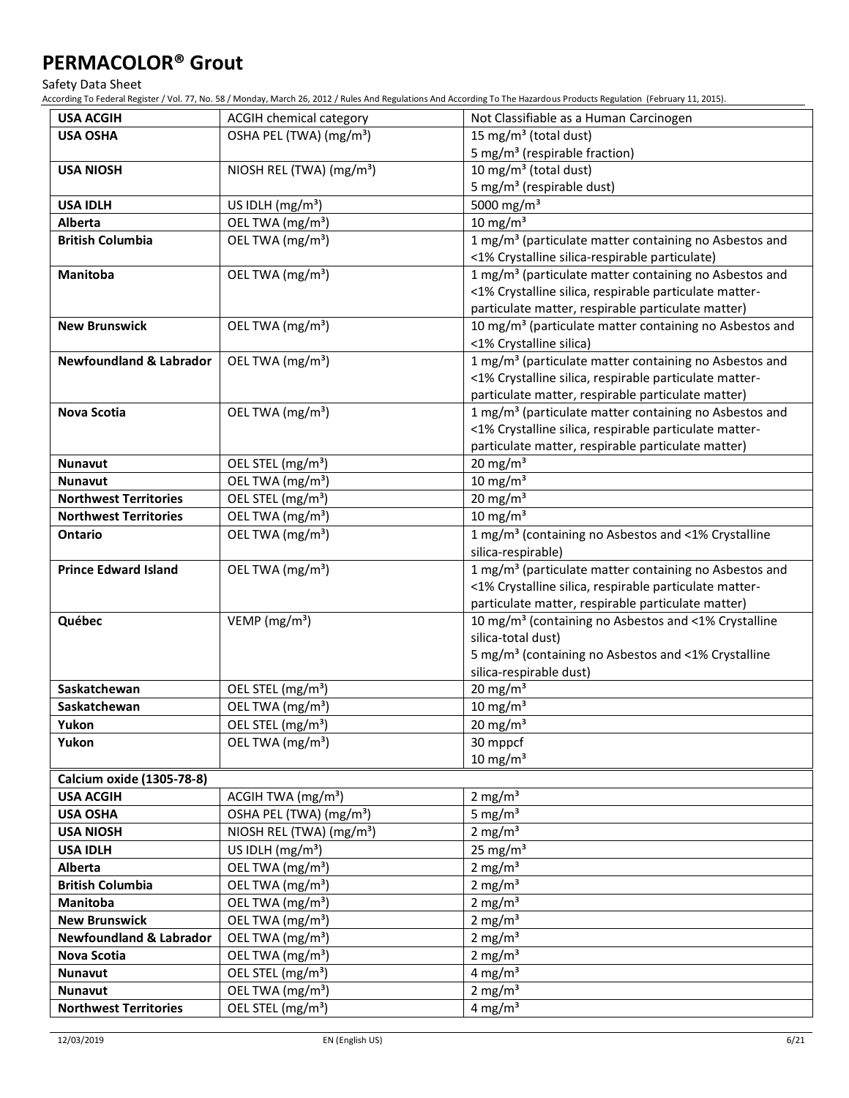Safety Data Sheet

| OSHA PEL (TWA) (mg/m <sup>3</sup> )<br>15 mg/m <sup>3</sup> (total dust)<br><b>USA OSHA</b><br>5 mg/m <sup>3</sup> (respirable fraction)<br>NIOSH REL (TWA) (mg/m <sup>3</sup> )<br>10 mg/m <sup>3</sup> (total dust)<br><b>USA NIOSH</b><br>5 mg/m <sup>3</sup> (respirable dust)<br>5000 mg/m <sup>3</sup><br>US IDLH (mg/m <sup>3</sup> )<br><b>USA IDLH</b><br>10 mg/m $3$<br>OEL TWA (mg/m <sup>3</sup> )<br>Alberta<br>OEL TWA (mg/m <sup>3</sup> )<br>1 mg/m <sup>3</sup> (particulate matter containing no Asbestos and<br><b>British Columbia</b><br><1% Crystalline silica-respirable particulate)<br>1 mg/m <sup>3</sup> (particulate matter containing no Asbestos and<br>OEL TWA (mg/m <sup>3</sup> )<br>Manitoba<br><1% Crystalline silica, respirable particulate matter-<br>particulate matter, respirable particulate matter)<br>OEL TWA (mg/m <sup>3</sup> )<br><b>New Brunswick</b><br>10 mg/m <sup>3</sup> (particulate matter containing no Asbestos and<br><1% Crystalline silica)<br>OEL TWA (mg/m <sup>3</sup> )<br>1 mg/m <sup>3</sup> (particulate matter containing no Asbestos and<br><b>Newfoundland &amp; Labrador</b><br><1% Crystalline silica, respirable particulate matter-<br>particulate matter, respirable particulate matter)<br>1 mg/m <sup>3</sup> (particulate matter containing no Asbestos and<br><b>Nova Scotia</b><br>OEL TWA (mg/m <sup>3</sup> )<br><1% Crystalline silica, respirable particulate matter-<br>particulate matter, respirable particulate matter)<br>20 mg/m $3$<br>OEL STEL (mg/m <sup>3</sup> )<br><b>Nunavut</b><br>$10 \text{ mg/m}^3$<br>OEL TWA (mg/m <sup>3</sup> )<br><b>Nunavut</b><br>$20 \text{ mg/m}^3$<br>OEL STEL (mg/m <sup>3</sup> )<br><b>Northwest Territories</b><br>$10 \text{ mg/m}^3$<br>OEL TWA (mg/m <sup>3</sup> )<br><b>Northwest Territories</b><br>OEL TWA (mg/m <sup>3</sup> )<br>1 mg/m <sup>3</sup> (containing no Asbestos and <1% Crystalline<br>Ontario<br>silica-respirable)<br>1 mg/m <sup>3</sup> (particulate matter containing no Asbestos and<br><b>Prince Edward Island</b><br>OEL TWA (mg/m <sup>3</sup> )<br><1% Crystalline silica, respirable particulate matter-<br>particulate matter, respirable particulate matter)<br>Québec<br>VEMP ( $mg/m3$ )<br>10 mg/m <sup>3</sup> (containing no Asbestos and <1% Crystalline<br>silica-total dust)<br>5 mg/m <sup>3</sup> (containing no Asbestos and <1% Crystalline<br>silica-respirable dust)<br>20 mg/m $3$<br>Saskatchewan<br>OEL STEL (mg/m <sup>3</sup> )<br>$10 \text{ mg/m}^3$<br>OEL TWA (mg/m <sup>3</sup> )<br>Saskatchewan<br>OEL STEL (mg/m <sup>3</sup> )<br>$20 \text{ mg/m}^3$<br>Yukon<br>OEL TWA (mg/m <sup>3</sup> )<br>Yukon<br>30 mppcf<br>$10 \text{ mg/m}^3$<br><b>Calcium oxide (1305-78-8)</b><br>2 mg/ $m3$<br>ACGIH TWA (mg/m <sup>3</sup> )<br><b>USA ACGIH</b><br>5 mg/ $m3$<br>OSHA PEL (TWA) (mg/m <sup>3</sup> )<br><b>USA OSHA</b><br>2 mg/ $m3$<br>NIOSH REL (TWA) (mg/m <sup>3</sup> )<br><b>USA NIOSH</b><br>25 mg/m $3$<br>US IDLH $(mg/m3)$<br><b>USA IDLH</b><br>2 mg/ $m3$<br><b>Alberta</b><br>OEL TWA (mg/m <sup>3</sup> )<br>2 mg/m $3$<br><b>British Columbia</b><br>OEL TWA (mg/m <sup>3</sup> )<br>2 mg/ $m3$<br>OEL TWA (mg/m <sup>3</sup> )<br><b>Manitoba</b><br>2 mg/m $3$<br>OEL TWA (mg/m <sup>3</sup> )<br><b>New Brunswick</b><br>2 mg/ $m3$<br><b>Newfoundland &amp; Labrador</b><br>OEL TWA (mg/m <sup>3</sup> )<br>2 mg/ $m3$<br>OEL TWA (mg/m <sup>3</sup> )<br>Nova Scotia<br>4 mg/ $m3$<br>OEL STEL (mg/m <sup>3</sup> )<br>Nunavut<br>2 mg/m $3$<br>OEL TWA (mg/m <sup>3</sup> )<br>Nunavut | <b>USA ACGIH</b>             | <b>ACGIH chemical category</b> | Not Classifiable as a Human Carcinogen |
|--------------------------------------------------------------------------------------------------------------------------------------------------------------------------------------------------------------------------------------------------------------------------------------------------------------------------------------------------------------------------------------------------------------------------------------------------------------------------------------------------------------------------------------------------------------------------------------------------------------------------------------------------------------------------------------------------------------------------------------------------------------------------------------------------------------------------------------------------------------------------------------------------------------------------------------------------------------------------------------------------------------------------------------------------------------------------------------------------------------------------------------------------------------------------------------------------------------------------------------------------------------------------------------------------------------------------------------------------------------------------------------------------------------------------------------------------------------------------------------------------------------------------------------------------------------------------------------------------------------------------------------------------------------------------------------------------------------------------------------------------------------------------------------------------------------------------------------------------------------------------------------------------------------------------------------------------------------------------------------------------------------------------------------------------------------------------------------------------------------------------------------------------------------------------------------------------------------------------------------------------------------------------------------------------------------------------------------------------------------------------------------------------------------------------------------------------------------------------------------------------------------------------------------------------------------------------------------------------------------------------------------------------------------------------------------------------------------------------------------------------------------------------------------------------------------------------------------------------------------------------------------------------------------------------------------------------------------------------------------------------------------------------------------------------------------------------------------------------------------------------------------------------------------------------------------------------------------------------------------------------------------------------------------------------------------------------------------------------------------------------------------------------------------------------------------------------------------------------------------------------------------------------------------------------------------------------------------------------------------------|------------------------------|--------------------------------|----------------------------------------|
|                                                                                                                                                                                                                                                                                                                                                                                                                                                                                                                                                                                                                                                                                                                                                                                                                                                                                                                                                                                                                                                                                                                                                                                                                                                                                                                                                                                                                                                                                                                                                                                                                                                                                                                                                                                                                                                                                                                                                                                                                                                                                                                                                                                                                                                                                                                                                                                                                                                                                                                                                                                                                                                                                                                                                                                                                                                                                                                                                                                                                                                                                                                                                                                                                                                                                                                                                                                                                                                                                                                                                                                                                    |                              |                                |                                        |
|                                                                                                                                                                                                                                                                                                                                                                                                                                                                                                                                                                                                                                                                                                                                                                                                                                                                                                                                                                                                                                                                                                                                                                                                                                                                                                                                                                                                                                                                                                                                                                                                                                                                                                                                                                                                                                                                                                                                                                                                                                                                                                                                                                                                                                                                                                                                                                                                                                                                                                                                                                                                                                                                                                                                                                                                                                                                                                                                                                                                                                                                                                                                                                                                                                                                                                                                                                                                                                                                                                                                                                                                                    |                              |                                |                                        |
|                                                                                                                                                                                                                                                                                                                                                                                                                                                                                                                                                                                                                                                                                                                                                                                                                                                                                                                                                                                                                                                                                                                                                                                                                                                                                                                                                                                                                                                                                                                                                                                                                                                                                                                                                                                                                                                                                                                                                                                                                                                                                                                                                                                                                                                                                                                                                                                                                                                                                                                                                                                                                                                                                                                                                                                                                                                                                                                                                                                                                                                                                                                                                                                                                                                                                                                                                                                                                                                                                                                                                                                                                    |                              |                                |                                        |
|                                                                                                                                                                                                                                                                                                                                                                                                                                                                                                                                                                                                                                                                                                                                                                                                                                                                                                                                                                                                                                                                                                                                                                                                                                                                                                                                                                                                                                                                                                                                                                                                                                                                                                                                                                                                                                                                                                                                                                                                                                                                                                                                                                                                                                                                                                                                                                                                                                                                                                                                                                                                                                                                                                                                                                                                                                                                                                                                                                                                                                                                                                                                                                                                                                                                                                                                                                                                                                                                                                                                                                                                                    |                              |                                |                                        |
|                                                                                                                                                                                                                                                                                                                                                                                                                                                                                                                                                                                                                                                                                                                                                                                                                                                                                                                                                                                                                                                                                                                                                                                                                                                                                                                                                                                                                                                                                                                                                                                                                                                                                                                                                                                                                                                                                                                                                                                                                                                                                                                                                                                                                                                                                                                                                                                                                                                                                                                                                                                                                                                                                                                                                                                                                                                                                                                                                                                                                                                                                                                                                                                                                                                                                                                                                                                                                                                                                                                                                                                                                    |                              |                                |                                        |
|                                                                                                                                                                                                                                                                                                                                                                                                                                                                                                                                                                                                                                                                                                                                                                                                                                                                                                                                                                                                                                                                                                                                                                                                                                                                                                                                                                                                                                                                                                                                                                                                                                                                                                                                                                                                                                                                                                                                                                                                                                                                                                                                                                                                                                                                                                                                                                                                                                                                                                                                                                                                                                                                                                                                                                                                                                                                                                                                                                                                                                                                                                                                                                                                                                                                                                                                                                                                                                                                                                                                                                                                                    |                              |                                |                                        |
|                                                                                                                                                                                                                                                                                                                                                                                                                                                                                                                                                                                                                                                                                                                                                                                                                                                                                                                                                                                                                                                                                                                                                                                                                                                                                                                                                                                                                                                                                                                                                                                                                                                                                                                                                                                                                                                                                                                                                                                                                                                                                                                                                                                                                                                                                                                                                                                                                                                                                                                                                                                                                                                                                                                                                                                                                                                                                                                                                                                                                                                                                                                                                                                                                                                                                                                                                                                                                                                                                                                                                                                                                    |                              |                                |                                        |
|                                                                                                                                                                                                                                                                                                                                                                                                                                                                                                                                                                                                                                                                                                                                                                                                                                                                                                                                                                                                                                                                                                                                                                                                                                                                                                                                                                                                                                                                                                                                                                                                                                                                                                                                                                                                                                                                                                                                                                                                                                                                                                                                                                                                                                                                                                                                                                                                                                                                                                                                                                                                                                                                                                                                                                                                                                                                                                                                                                                                                                                                                                                                                                                                                                                                                                                                                                                                                                                                                                                                                                                                                    |                              |                                |                                        |
|                                                                                                                                                                                                                                                                                                                                                                                                                                                                                                                                                                                                                                                                                                                                                                                                                                                                                                                                                                                                                                                                                                                                                                                                                                                                                                                                                                                                                                                                                                                                                                                                                                                                                                                                                                                                                                                                                                                                                                                                                                                                                                                                                                                                                                                                                                                                                                                                                                                                                                                                                                                                                                                                                                                                                                                                                                                                                                                                                                                                                                                                                                                                                                                                                                                                                                                                                                                                                                                                                                                                                                                                                    |                              |                                |                                        |
|                                                                                                                                                                                                                                                                                                                                                                                                                                                                                                                                                                                                                                                                                                                                                                                                                                                                                                                                                                                                                                                                                                                                                                                                                                                                                                                                                                                                                                                                                                                                                                                                                                                                                                                                                                                                                                                                                                                                                                                                                                                                                                                                                                                                                                                                                                                                                                                                                                                                                                                                                                                                                                                                                                                                                                                                                                                                                                                                                                                                                                                                                                                                                                                                                                                                                                                                                                                                                                                                                                                                                                                                                    |                              |                                |                                        |
|                                                                                                                                                                                                                                                                                                                                                                                                                                                                                                                                                                                                                                                                                                                                                                                                                                                                                                                                                                                                                                                                                                                                                                                                                                                                                                                                                                                                                                                                                                                                                                                                                                                                                                                                                                                                                                                                                                                                                                                                                                                                                                                                                                                                                                                                                                                                                                                                                                                                                                                                                                                                                                                                                                                                                                                                                                                                                                                                                                                                                                                                                                                                                                                                                                                                                                                                                                                                                                                                                                                                                                                                                    |                              |                                |                                        |
|                                                                                                                                                                                                                                                                                                                                                                                                                                                                                                                                                                                                                                                                                                                                                                                                                                                                                                                                                                                                                                                                                                                                                                                                                                                                                                                                                                                                                                                                                                                                                                                                                                                                                                                                                                                                                                                                                                                                                                                                                                                                                                                                                                                                                                                                                                                                                                                                                                                                                                                                                                                                                                                                                                                                                                                                                                                                                                                                                                                                                                                                                                                                                                                                                                                                                                                                                                                                                                                                                                                                                                                                                    |                              |                                |                                        |
|                                                                                                                                                                                                                                                                                                                                                                                                                                                                                                                                                                                                                                                                                                                                                                                                                                                                                                                                                                                                                                                                                                                                                                                                                                                                                                                                                                                                                                                                                                                                                                                                                                                                                                                                                                                                                                                                                                                                                                                                                                                                                                                                                                                                                                                                                                                                                                                                                                                                                                                                                                                                                                                                                                                                                                                                                                                                                                                                                                                                                                                                                                                                                                                                                                                                                                                                                                                                                                                                                                                                                                                                                    |                              |                                |                                        |
|                                                                                                                                                                                                                                                                                                                                                                                                                                                                                                                                                                                                                                                                                                                                                                                                                                                                                                                                                                                                                                                                                                                                                                                                                                                                                                                                                                                                                                                                                                                                                                                                                                                                                                                                                                                                                                                                                                                                                                                                                                                                                                                                                                                                                                                                                                                                                                                                                                                                                                                                                                                                                                                                                                                                                                                                                                                                                                                                                                                                                                                                                                                                                                                                                                                                                                                                                                                                                                                                                                                                                                                                                    |                              |                                |                                        |
|                                                                                                                                                                                                                                                                                                                                                                                                                                                                                                                                                                                                                                                                                                                                                                                                                                                                                                                                                                                                                                                                                                                                                                                                                                                                                                                                                                                                                                                                                                                                                                                                                                                                                                                                                                                                                                                                                                                                                                                                                                                                                                                                                                                                                                                                                                                                                                                                                                                                                                                                                                                                                                                                                                                                                                                                                                                                                                                                                                                                                                                                                                                                                                                                                                                                                                                                                                                                                                                                                                                                                                                                                    |                              |                                |                                        |
|                                                                                                                                                                                                                                                                                                                                                                                                                                                                                                                                                                                                                                                                                                                                                                                                                                                                                                                                                                                                                                                                                                                                                                                                                                                                                                                                                                                                                                                                                                                                                                                                                                                                                                                                                                                                                                                                                                                                                                                                                                                                                                                                                                                                                                                                                                                                                                                                                                                                                                                                                                                                                                                                                                                                                                                                                                                                                                                                                                                                                                                                                                                                                                                                                                                                                                                                                                                                                                                                                                                                                                                                                    |                              |                                |                                        |
|                                                                                                                                                                                                                                                                                                                                                                                                                                                                                                                                                                                                                                                                                                                                                                                                                                                                                                                                                                                                                                                                                                                                                                                                                                                                                                                                                                                                                                                                                                                                                                                                                                                                                                                                                                                                                                                                                                                                                                                                                                                                                                                                                                                                                                                                                                                                                                                                                                                                                                                                                                                                                                                                                                                                                                                                                                                                                                                                                                                                                                                                                                                                                                                                                                                                                                                                                                                                                                                                                                                                                                                                                    |                              |                                |                                        |
|                                                                                                                                                                                                                                                                                                                                                                                                                                                                                                                                                                                                                                                                                                                                                                                                                                                                                                                                                                                                                                                                                                                                                                                                                                                                                                                                                                                                                                                                                                                                                                                                                                                                                                                                                                                                                                                                                                                                                                                                                                                                                                                                                                                                                                                                                                                                                                                                                                                                                                                                                                                                                                                                                                                                                                                                                                                                                                                                                                                                                                                                                                                                                                                                                                                                                                                                                                                                                                                                                                                                                                                                                    |                              |                                |                                        |
|                                                                                                                                                                                                                                                                                                                                                                                                                                                                                                                                                                                                                                                                                                                                                                                                                                                                                                                                                                                                                                                                                                                                                                                                                                                                                                                                                                                                                                                                                                                                                                                                                                                                                                                                                                                                                                                                                                                                                                                                                                                                                                                                                                                                                                                                                                                                                                                                                                                                                                                                                                                                                                                                                                                                                                                                                                                                                                                                                                                                                                                                                                                                                                                                                                                                                                                                                                                                                                                                                                                                                                                                                    |                              |                                |                                        |
|                                                                                                                                                                                                                                                                                                                                                                                                                                                                                                                                                                                                                                                                                                                                                                                                                                                                                                                                                                                                                                                                                                                                                                                                                                                                                                                                                                                                                                                                                                                                                                                                                                                                                                                                                                                                                                                                                                                                                                                                                                                                                                                                                                                                                                                                                                                                                                                                                                                                                                                                                                                                                                                                                                                                                                                                                                                                                                                                                                                                                                                                                                                                                                                                                                                                                                                                                                                                                                                                                                                                                                                                                    |                              |                                |                                        |
|                                                                                                                                                                                                                                                                                                                                                                                                                                                                                                                                                                                                                                                                                                                                                                                                                                                                                                                                                                                                                                                                                                                                                                                                                                                                                                                                                                                                                                                                                                                                                                                                                                                                                                                                                                                                                                                                                                                                                                                                                                                                                                                                                                                                                                                                                                                                                                                                                                                                                                                                                                                                                                                                                                                                                                                                                                                                                                                                                                                                                                                                                                                                                                                                                                                                                                                                                                                                                                                                                                                                                                                                                    |                              |                                |                                        |
|                                                                                                                                                                                                                                                                                                                                                                                                                                                                                                                                                                                                                                                                                                                                                                                                                                                                                                                                                                                                                                                                                                                                                                                                                                                                                                                                                                                                                                                                                                                                                                                                                                                                                                                                                                                                                                                                                                                                                                                                                                                                                                                                                                                                                                                                                                                                                                                                                                                                                                                                                                                                                                                                                                                                                                                                                                                                                                                                                                                                                                                                                                                                                                                                                                                                                                                                                                                                                                                                                                                                                                                                                    |                              |                                |                                        |
|                                                                                                                                                                                                                                                                                                                                                                                                                                                                                                                                                                                                                                                                                                                                                                                                                                                                                                                                                                                                                                                                                                                                                                                                                                                                                                                                                                                                                                                                                                                                                                                                                                                                                                                                                                                                                                                                                                                                                                                                                                                                                                                                                                                                                                                                                                                                                                                                                                                                                                                                                                                                                                                                                                                                                                                                                                                                                                                                                                                                                                                                                                                                                                                                                                                                                                                                                                                                                                                                                                                                                                                                                    |                              |                                |                                        |
|                                                                                                                                                                                                                                                                                                                                                                                                                                                                                                                                                                                                                                                                                                                                                                                                                                                                                                                                                                                                                                                                                                                                                                                                                                                                                                                                                                                                                                                                                                                                                                                                                                                                                                                                                                                                                                                                                                                                                                                                                                                                                                                                                                                                                                                                                                                                                                                                                                                                                                                                                                                                                                                                                                                                                                                                                                                                                                                                                                                                                                                                                                                                                                                                                                                                                                                                                                                                                                                                                                                                                                                                                    |                              |                                |                                        |
|                                                                                                                                                                                                                                                                                                                                                                                                                                                                                                                                                                                                                                                                                                                                                                                                                                                                                                                                                                                                                                                                                                                                                                                                                                                                                                                                                                                                                                                                                                                                                                                                                                                                                                                                                                                                                                                                                                                                                                                                                                                                                                                                                                                                                                                                                                                                                                                                                                                                                                                                                                                                                                                                                                                                                                                                                                                                                                                                                                                                                                                                                                                                                                                                                                                                                                                                                                                                                                                                                                                                                                                                                    |                              |                                |                                        |
|                                                                                                                                                                                                                                                                                                                                                                                                                                                                                                                                                                                                                                                                                                                                                                                                                                                                                                                                                                                                                                                                                                                                                                                                                                                                                                                                                                                                                                                                                                                                                                                                                                                                                                                                                                                                                                                                                                                                                                                                                                                                                                                                                                                                                                                                                                                                                                                                                                                                                                                                                                                                                                                                                                                                                                                                                                                                                                                                                                                                                                                                                                                                                                                                                                                                                                                                                                                                                                                                                                                                                                                                                    |                              |                                |                                        |
|                                                                                                                                                                                                                                                                                                                                                                                                                                                                                                                                                                                                                                                                                                                                                                                                                                                                                                                                                                                                                                                                                                                                                                                                                                                                                                                                                                                                                                                                                                                                                                                                                                                                                                                                                                                                                                                                                                                                                                                                                                                                                                                                                                                                                                                                                                                                                                                                                                                                                                                                                                                                                                                                                                                                                                                                                                                                                                                                                                                                                                                                                                                                                                                                                                                                                                                                                                                                                                                                                                                                                                                                                    |                              |                                |                                        |
|                                                                                                                                                                                                                                                                                                                                                                                                                                                                                                                                                                                                                                                                                                                                                                                                                                                                                                                                                                                                                                                                                                                                                                                                                                                                                                                                                                                                                                                                                                                                                                                                                                                                                                                                                                                                                                                                                                                                                                                                                                                                                                                                                                                                                                                                                                                                                                                                                                                                                                                                                                                                                                                                                                                                                                                                                                                                                                                                                                                                                                                                                                                                                                                                                                                                                                                                                                                                                                                                                                                                                                                                                    |                              |                                |                                        |
|                                                                                                                                                                                                                                                                                                                                                                                                                                                                                                                                                                                                                                                                                                                                                                                                                                                                                                                                                                                                                                                                                                                                                                                                                                                                                                                                                                                                                                                                                                                                                                                                                                                                                                                                                                                                                                                                                                                                                                                                                                                                                                                                                                                                                                                                                                                                                                                                                                                                                                                                                                                                                                                                                                                                                                                                                                                                                                                                                                                                                                                                                                                                                                                                                                                                                                                                                                                                                                                                                                                                                                                                                    |                              |                                |                                        |
|                                                                                                                                                                                                                                                                                                                                                                                                                                                                                                                                                                                                                                                                                                                                                                                                                                                                                                                                                                                                                                                                                                                                                                                                                                                                                                                                                                                                                                                                                                                                                                                                                                                                                                                                                                                                                                                                                                                                                                                                                                                                                                                                                                                                                                                                                                                                                                                                                                                                                                                                                                                                                                                                                                                                                                                                                                                                                                                                                                                                                                                                                                                                                                                                                                                                                                                                                                                                                                                                                                                                                                                                                    |                              |                                |                                        |
|                                                                                                                                                                                                                                                                                                                                                                                                                                                                                                                                                                                                                                                                                                                                                                                                                                                                                                                                                                                                                                                                                                                                                                                                                                                                                                                                                                                                                                                                                                                                                                                                                                                                                                                                                                                                                                                                                                                                                                                                                                                                                                                                                                                                                                                                                                                                                                                                                                                                                                                                                                                                                                                                                                                                                                                                                                                                                                                                                                                                                                                                                                                                                                                                                                                                                                                                                                                                                                                                                                                                                                                                                    |                              |                                |                                        |
|                                                                                                                                                                                                                                                                                                                                                                                                                                                                                                                                                                                                                                                                                                                                                                                                                                                                                                                                                                                                                                                                                                                                                                                                                                                                                                                                                                                                                                                                                                                                                                                                                                                                                                                                                                                                                                                                                                                                                                                                                                                                                                                                                                                                                                                                                                                                                                                                                                                                                                                                                                                                                                                                                                                                                                                                                                                                                                                                                                                                                                                                                                                                                                                                                                                                                                                                                                                                                                                                                                                                                                                                                    |                              |                                |                                        |
|                                                                                                                                                                                                                                                                                                                                                                                                                                                                                                                                                                                                                                                                                                                                                                                                                                                                                                                                                                                                                                                                                                                                                                                                                                                                                                                                                                                                                                                                                                                                                                                                                                                                                                                                                                                                                                                                                                                                                                                                                                                                                                                                                                                                                                                                                                                                                                                                                                                                                                                                                                                                                                                                                                                                                                                                                                                                                                                                                                                                                                                                                                                                                                                                                                                                                                                                                                                                                                                                                                                                                                                                                    |                              |                                |                                        |
|                                                                                                                                                                                                                                                                                                                                                                                                                                                                                                                                                                                                                                                                                                                                                                                                                                                                                                                                                                                                                                                                                                                                                                                                                                                                                                                                                                                                                                                                                                                                                                                                                                                                                                                                                                                                                                                                                                                                                                                                                                                                                                                                                                                                                                                                                                                                                                                                                                                                                                                                                                                                                                                                                                                                                                                                                                                                                                                                                                                                                                                                                                                                                                                                                                                                                                                                                                                                                                                                                                                                                                                                                    |                              |                                |                                        |
|                                                                                                                                                                                                                                                                                                                                                                                                                                                                                                                                                                                                                                                                                                                                                                                                                                                                                                                                                                                                                                                                                                                                                                                                                                                                                                                                                                                                                                                                                                                                                                                                                                                                                                                                                                                                                                                                                                                                                                                                                                                                                                                                                                                                                                                                                                                                                                                                                                                                                                                                                                                                                                                                                                                                                                                                                                                                                                                                                                                                                                                                                                                                                                                                                                                                                                                                                                                                                                                                                                                                                                                                                    |                              |                                |                                        |
|                                                                                                                                                                                                                                                                                                                                                                                                                                                                                                                                                                                                                                                                                                                                                                                                                                                                                                                                                                                                                                                                                                                                                                                                                                                                                                                                                                                                                                                                                                                                                                                                                                                                                                                                                                                                                                                                                                                                                                                                                                                                                                                                                                                                                                                                                                                                                                                                                                                                                                                                                                                                                                                                                                                                                                                                                                                                                                                                                                                                                                                                                                                                                                                                                                                                                                                                                                                                                                                                                                                                                                                                                    |                              |                                |                                        |
|                                                                                                                                                                                                                                                                                                                                                                                                                                                                                                                                                                                                                                                                                                                                                                                                                                                                                                                                                                                                                                                                                                                                                                                                                                                                                                                                                                                                                                                                                                                                                                                                                                                                                                                                                                                                                                                                                                                                                                                                                                                                                                                                                                                                                                                                                                                                                                                                                                                                                                                                                                                                                                                                                                                                                                                                                                                                                                                                                                                                                                                                                                                                                                                                                                                                                                                                                                                                                                                                                                                                                                                                                    |                              |                                |                                        |
|                                                                                                                                                                                                                                                                                                                                                                                                                                                                                                                                                                                                                                                                                                                                                                                                                                                                                                                                                                                                                                                                                                                                                                                                                                                                                                                                                                                                                                                                                                                                                                                                                                                                                                                                                                                                                                                                                                                                                                                                                                                                                                                                                                                                                                                                                                                                                                                                                                                                                                                                                                                                                                                                                                                                                                                                                                                                                                                                                                                                                                                                                                                                                                                                                                                                                                                                                                                                                                                                                                                                                                                                                    |                              |                                |                                        |
|                                                                                                                                                                                                                                                                                                                                                                                                                                                                                                                                                                                                                                                                                                                                                                                                                                                                                                                                                                                                                                                                                                                                                                                                                                                                                                                                                                                                                                                                                                                                                                                                                                                                                                                                                                                                                                                                                                                                                                                                                                                                                                                                                                                                                                                                                                                                                                                                                                                                                                                                                                                                                                                                                                                                                                                                                                                                                                                                                                                                                                                                                                                                                                                                                                                                                                                                                                                                                                                                                                                                                                                                                    |                              |                                |                                        |
|                                                                                                                                                                                                                                                                                                                                                                                                                                                                                                                                                                                                                                                                                                                                                                                                                                                                                                                                                                                                                                                                                                                                                                                                                                                                                                                                                                                                                                                                                                                                                                                                                                                                                                                                                                                                                                                                                                                                                                                                                                                                                                                                                                                                                                                                                                                                                                                                                                                                                                                                                                                                                                                                                                                                                                                                                                                                                                                                                                                                                                                                                                                                                                                                                                                                                                                                                                                                                                                                                                                                                                                                                    | <b>Northwest Territories</b> | OEL STEL (mg/m <sup>3</sup> )  | 4 mg/ $m3$                             |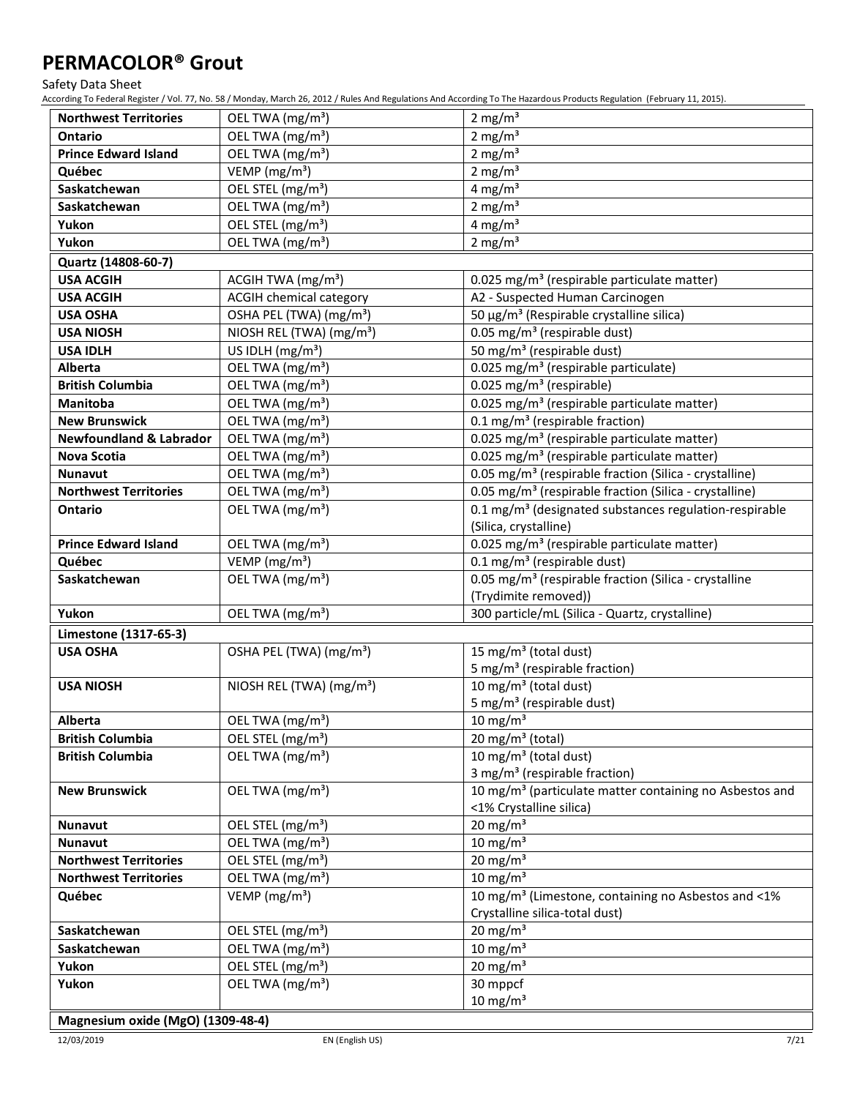Safety Data Sheet

According To Federal Register / Vol. 77, No. 58 / Monday, March 26, 2012 / Rules And Regulations And According To The Hazardous Products Regulation (February 11, 2015).

| <b>Northwest Territories</b>            | OEL TWA (mg/m <sup>3</sup> )                                  | 2 mg/ $m3$                                                          |
|-----------------------------------------|---------------------------------------------------------------|---------------------------------------------------------------------|
| <b>Ontario</b>                          | OEL TWA (mg/m <sup>3</sup> )                                  | 2 mg/ $m3$                                                          |
| <b>Prince Edward Island</b>             | OEL TWA (mg/m <sup>3</sup> )                                  | 2 mg/ $m3$                                                          |
| Québec                                  | VEMP ( $mg/m3$ )                                              | 2 mg/ $m3$                                                          |
| Saskatchewan                            | OEL STEL (mg/m <sup>3</sup> )                                 | 4 mg/ $m3$                                                          |
| Saskatchewan                            | OEL TWA (mg/m <sup>3</sup> )                                  | 2 mg/ $m3$                                                          |
| Yukon                                   | OEL STEL (mg/m <sup>3</sup> )                                 | 4 mg/ $m3$                                                          |
| Yukon                                   | OEL TWA (mg/m <sup>3</sup> )                                  | 2 mg/ $m3$                                                          |
| Quartz (14808-60-7)                     |                                                               |                                                                     |
| <b>USA ACGIH</b>                        | ACGIH TWA (mg/m <sup>3</sup> )                                | 0.025 mg/m <sup>3</sup> (respirable particulate matter)             |
| <b>USA ACGIH</b>                        | <b>ACGIH chemical category</b>                                | A2 - Suspected Human Carcinogen                                     |
| <b>USA OSHA</b>                         | OSHA PEL (TWA) (mg/m <sup>3</sup> )                           | 50 μg/m <sup>3</sup> (Respirable crystalline silica)                |
| <b>USA NIOSH</b>                        | NIOSH REL (TWA) (mg/m <sup>3</sup> )                          | 0.05 mg/m <sup>3</sup> (respirable dust)                            |
| <b>USA IDLH</b>                         | US IDLH (mg/m <sup>3</sup> )                                  | 50 mg/m <sup>3</sup> (respirable dust)                              |
| Alberta                                 | OEL TWA (mg/m <sup>3</sup> )                                  | 0.025 mg/m <sup>3</sup> (respirable particulate)                    |
| <b>British Columbia</b>                 | OEL TWA (mg/m <sup>3</sup> )                                  | 0.025 mg/m <sup>3</sup> (respirable)                                |
| Manitoba                                | OEL TWA (mg/m <sup>3</sup> )                                  | 0.025 mg/m <sup>3</sup> (respirable particulate matter)             |
| <b>New Brunswick</b>                    | OEL TWA (mg/m <sup>3</sup> )                                  | 0.1 mg/m <sup>3</sup> (respirable fraction)                         |
| <b>Newfoundland &amp; Labrador</b>      | OEL TWA (mg/m <sup>3</sup> )                                  | 0.025 mg/m <sup>3</sup> (respirable particulate matter)             |
| Nova Scotia                             | OEL TWA (mg/m <sup>3</sup> )                                  | 0.025 mg/m <sup>3</sup> (respirable particulate matter)             |
| Nunavut                                 | OEL TWA (mg/m <sup>3</sup> )                                  | 0.05 mg/m <sup>3</sup> (respirable fraction (Silica - crystalline)  |
| <b>Northwest Territories</b>            | OEL TWA (mg/m <sup>3</sup> )                                  | 0.05 mg/m <sup>3</sup> (respirable fraction (Silica - crystalline)  |
| <b>Ontario</b>                          | OEL TWA (mg/m <sup>3</sup> )                                  | 0.1 mg/m <sup>3</sup> (designated substances regulation-respirable  |
|                                         |                                                               | (Silica, crystalline)                                               |
| <b>Prince Edward Island</b>             | OEL TWA (mg/m <sup>3</sup> )                                  | 0.025 mg/m <sup>3</sup> (respirable particulate matter)             |
| Québec                                  | VEMP ( $mg/m3$ )                                              | $0.1$ mg/m <sup>3</sup> (respirable dust)                           |
| Saskatchewan                            | OEL TWA (mg/m <sup>3</sup> )                                  | 0.05 mg/m <sup>3</sup> (respirable fraction (Silica - crystalline   |
|                                         |                                                               | (Trydimite removed))                                                |
| Yukon                                   | OEL TWA (mg/m <sup>3</sup> )                                  | 300 particle/mL (Silica - Quartz, crystalline)                      |
| Limestone (1317-65-3)                   |                                                               |                                                                     |
| <b>USA OSHA</b>                         | OSHA PEL (TWA) (mg/m <sup>3</sup> )                           | 15 mg/m <sup>3</sup> (total dust)                                   |
|                                         |                                                               | 5 mg/m <sup>3</sup> (respirable fraction)                           |
| <b>USA NIOSH</b>                        | NIOSH REL (TWA) (mg/m <sup>3</sup> )                          | 10 mg/m <sup>3</sup> (total dust)                                   |
|                                         |                                                               | 5 mg/m <sup>3</sup> (respirable dust)                               |
| Alberta                                 | OEL TWA (mg/m <sup>3</sup> )                                  | $10 \text{ mg/m}^3$                                                 |
| <b>British Columbia</b>                 | OEL STEL (mg/m <sup>3</sup> )                                 | 20 mg/m <sup>3</sup> (total)                                        |
| <b>British Columbia</b>                 | OEL TWA (mg/m <sup>3</sup> )                                  | 10 mg/m <sup>3</sup> (total dust)                                   |
|                                         |                                                               | 3 mg/m <sup>3</sup> (respirable fraction)                           |
| <b>New Brunswick</b>                    | OEL TWA (mg/m <sup>3</sup> )                                  | 10 mg/m <sup>3</sup> (particulate matter containing no Asbestos and |
|                                         |                                                               | <1% Crystalline silica)                                             |
| <b>Nunavut</b>                          | OEL STEL (mg/m <sup>3</sup> )                                 | 20 mg/m $3$<br>$10 \text{ mg/m}^3$                                  |
| Nunavut<br><b>Northwest Territories</b> | OEL TWA (mg/m <sup>3</sup> )<br>OEL STEL (mg/m <sup>3</sup> ) | 20 mg/m $3$                                                         |
| <b>Northwest Territories</b>            | OEL TWA (mg/m <sup>3</sup> )                                  | $10 \text{ mg/m}^3$                                                 |
| Québec                                  | VEMP ( $mg/m3$ )                                              | 10 mg/m <sup>3</sup> (Limestone, containing no Asbestos and <1%     |
|                                         |                                                               | Crystalline silica-total dust)                                      |
| Saskatchewan                            | OEL STEL (mg/m <sup>3</sup> )                                 | 20 mg/m $3$                                                         |
| Saskatchewan                            | OEL TWA (mg/m <sup>3</sup> )                                  | $10 \text{ mg/m}^3$                                                 |
| Yukon                                   | OEL STEL (mg/m <sup>3</sup> )                                 | 20 mg/m $3$                                                         |
| Yukon                                   | OEL TWA (mg/m <sup>3</sup> )                                  | 30 mppcf                                                            |
|                                         |                                                               | $10 \text{ mg/m}^3$                                                 |
|                                         |                                                               |                                                                     |

### **Magnesium oxide (MgO) (1309-48-4)**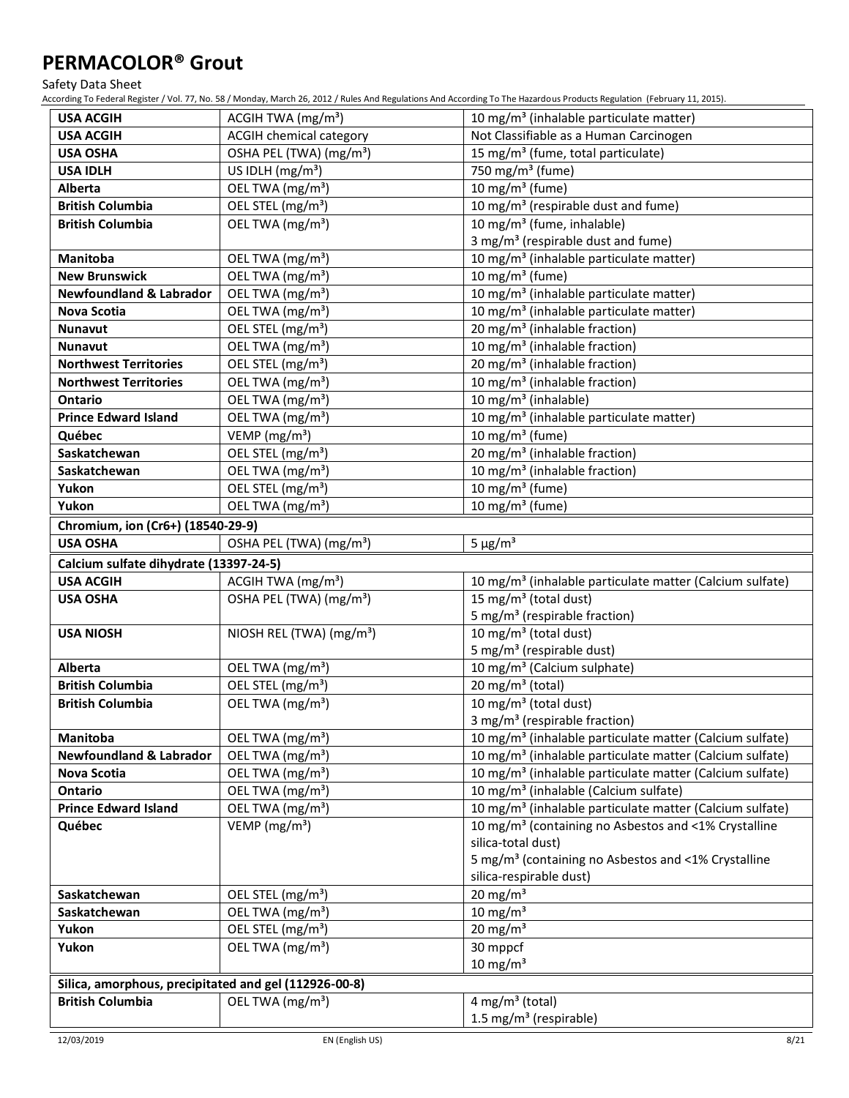Safety Data Sheet

| <b>USA ACGIH</b>                                      | ACGIH TWA (mg/m <sup>3</sup> )       | 10 mg/m <sup>3</sup> (inhalable particulate matter)                  |
|-------------------------------------------------------|--------------------------------------|----------------------------------------------------------------------|
| <b>USA ACGIH</b>                                      | <b>ACGIH chemical category</b>       | Not Classifiable as a Human Carcinogen                               |
| <b>USA OSHA</b>                                       | OSHA PEL (TWA) (mg/m <sup>3</sup> )  | 15 mg/m <sup>3</sup> (fume, total particulate)                       |
| <b>USA IDLH</b>                                       | US IDLH (mg/m <sup>3</sup> )         | 750 mg/m <sup>3</sup> (fume)                                         |
| Alberta                                               | OEL TWA (mg/m <sup>3</sup> )         | 10 mg/m $3$ (fume)                                                   |
| <b>British Columbia</b>                               | OEL STEL (mg/m <sup>3</sup> )        | 10 mg/m <sup>3</sup> (respirable dust and fume)                      |
| <b>British Columbia</b>                               | OEL TWA (mg/m <sup>3</sup> )         | 10 mg/m <sup>3</sup> (fume, inhalable)                               |
|                                                       |                                      | 3 mg/m <sup>3</sup> (respirable dust and fume)                       |
| Manitoba                                              | OEL TWA (mg/m <sup>3</sup> )         | 10 mg/m <sup>3</sup> (inhalable particulate matter)                  |
| <b>New Brunswick</b>                                  | OEL TWA (mg/m <sup>3</sup> )         | 10 mg/m $3$ (fume)                                                   |
| <b>Newfoundland &amp; Labrador</b>                    | OEL TWA (mg/m <sup>3</sup> )         | 10 mg/m <sup>3</sup> (inhalable particulate matter)                  |
| Nova Scotia                                           | OEL TWA (mg/m <sup>3</sup> )         | 10 mg/m <sup>3</sup> (inhalable particulate matter)                  |
| Nunavut                                               | OEL STEL (mg/m <sup>3</sup> )        | 20 mg/m <sup>3</sup> (inhalable fraction)                            |
| <b>Nunavut</b>                                        | OEL TWA (mg/m <sup>3</sup> )         | 10 mg/m <sup>3</sup> (inhalable fraction)                            |
| <b>Northwest Territories</b>                          | OEL STEL (mg/m <sup>3</sup> )        | 20 mg/m <sup>3</sup> (inhalable fraction)                            |
| <b>Northwest Territories</b>                          | OEL TWA (mg/m <sup>3</sup> )         | 10 mg/m <sup>3</sup> (inhalable fraction)                            |
| <b>Ontario</b>                                        | OEL TWA (mg/m <sup>3</sup> )         | 10 mg/m <sup>3</sup> (inhalable)                                     |
| <b>Prince Edward Island</b>                           | OEL TWA (mg/m <sup>3</sup> )         | 10 mg/m <sup>3</sup> (inhalable particulate matter)                  |
| Québec                                                | VEMP (mg/m <sup>3</sup> )            | 10 mg/m <sup>3</sup> (fume)                                          |
| Saskatchewan                                          | OEL STEL (mg/m <sup>3</sup> )        | 20 mg/m <sup>3</sup> (inhalable fraction)                            |
| Saskatchewan                                          | OEL TWA (mg/m <sup>3</sup> )         | 10 mg/m <sup>3</sup> (inhalable fraction)                            |
| Yukon                                                 | OEL STEL (mg/m <sup>3</sup> )        | 10 mg/m $3$ (fume)                                                   |
| Yukon                                                 | OEL TWA (mg/m <sup>3</sup> )         | 10 mg/m $3$ (fume)                                                   |
| Chromium, ion (Cr6+) (18540-29-9)                     |                                      |                                                                      |
| <b>USA OSHA</b>                                       | OSHA PEL (TWA) (mg/m <sup>3</sup> )  | $5 \mu g/m^3$                                                        |
| Calcium sulfate dihydrate (13397-24-5)                |                                      |                                                                      |
| <b>USA ACGIH</b>                                      | ACGIH TWA (mg/m <sup>3</sup> )       | 10 mg/m <sup>3</sup> (inhalable particulate matter (Calcium sulfate) |
| <b>USA OSHA</b>                                       | OSHA PEL (TWA) (mg/m <sup>3</sup> )  | $15 \,\mathrm{mg/m^3}$ (total dust)                                  |
|                                                       |                                      | 5 mg/m <sup>3</sup> (respirable fraction)                            |
| <b>USA NIOSH</b>                                      | NIOSH REL (TWA) (mg/m <sup>3</sup> ) | 10 mg/m <sup>3</sup> (total dust)                                    |
|                                                       |                                      | 5 mg/m <sup>3</sup> (respirable dust)                                |
| Alberta                                               | OEL TWA (mg/m <sup>3</sup> )         | 10 mg/m <sup>3</sup> (Calcium sulphate)                              |
| <b>British Columbia</b>                               | OEL STEL (mg/m <sup>3</sup> )        | 20 mg/m $3$ (total)                                                  |
| <b>British Columbia</b>                               | OEL TWA (mg/m <sup>3</sup> )         | 10 mg/m <sup>3</sup> (total dust)                                    |
|                                                       |                                      | 3 mg/m <sup>3</sup> (respirable fraction)                            |
| Manitoba                                              | OEL TWA (mg/m <sup>3</sup> )         | 10 mg/m <sup>3</sup> (inhalable particulate matter (Calcium sulfate) |
| <b>Newfoundland &amp; Labrador</b>                    | OEL TWA (mg/m <sup>3</sup> )         | 10 mg/m <sup>3</sup> (inhalable particulate matter (Calcium sulfate) |
| Nova Scotia                                           | OEL TWA (mg/m <sup>3</sup> )         | 10 mg/m <sup>3</sup> (inhalable particulate matter (Calcium sulfate) |
| Ontario                                               | OEL TWA (mg/m <sup>3</sup> )         | 10 mg/m <sup>3</sup> (inhalable (Calcium sulfate)                    |
| <b>Prince Edward Island</b>                           | OEL TWA (mg/m <sup>3</sup> )         | 10 mg/m <sup>3</sup> (inhalable particulate matter (Calcium sulfate) |
| Québec                                                | VEMP ( $mg/m3$ )                     | 10 mg/m <sup>3</sup> (containing no Asbestos and <1% Crystalline     |
|                                                       |                                      | silica-total dust)                                                   |
|                                                       |                                      | 5 mg/m <sup>3</sup> (containing no Asbestos and <1% Crystalline      |
|                                                       |                                      | silica-respirable dust)                                              |
| Saskatchewan                                          | OEL STEL (mg/m <sup>3</sup> )        | 20 mg/m $3$                                                          |
| Saskatchewan                                          | OEL TWA (mg/m <sup>3</sup> )         | $10 \text{ mg/m}^3$                                                  |
| Yukon                                                 | OEL STEL (mg/m <sup>3</sup> )        | 20 mg/m $3$                                                          |
| Yukon                                                 | OEL TWA (mg/m <sup>3</sup> )         | 30 mppcf                                                             |
|                                                       |                                      | $10 \text{ mg/m}^3$                                                  |
| Silica, amorphous, precipitated and gel (112926-00-8) |                                      |                                                                      |
| <b>British Columbia</b>                               | OEL TWA (mg/m <sup>3</sup> )         | $4$ mg/m <sup>3</sup> (total)                                        |
|                                                       |                                      | 1.5 mg/m <sup>3</sup> (respirable)                                   |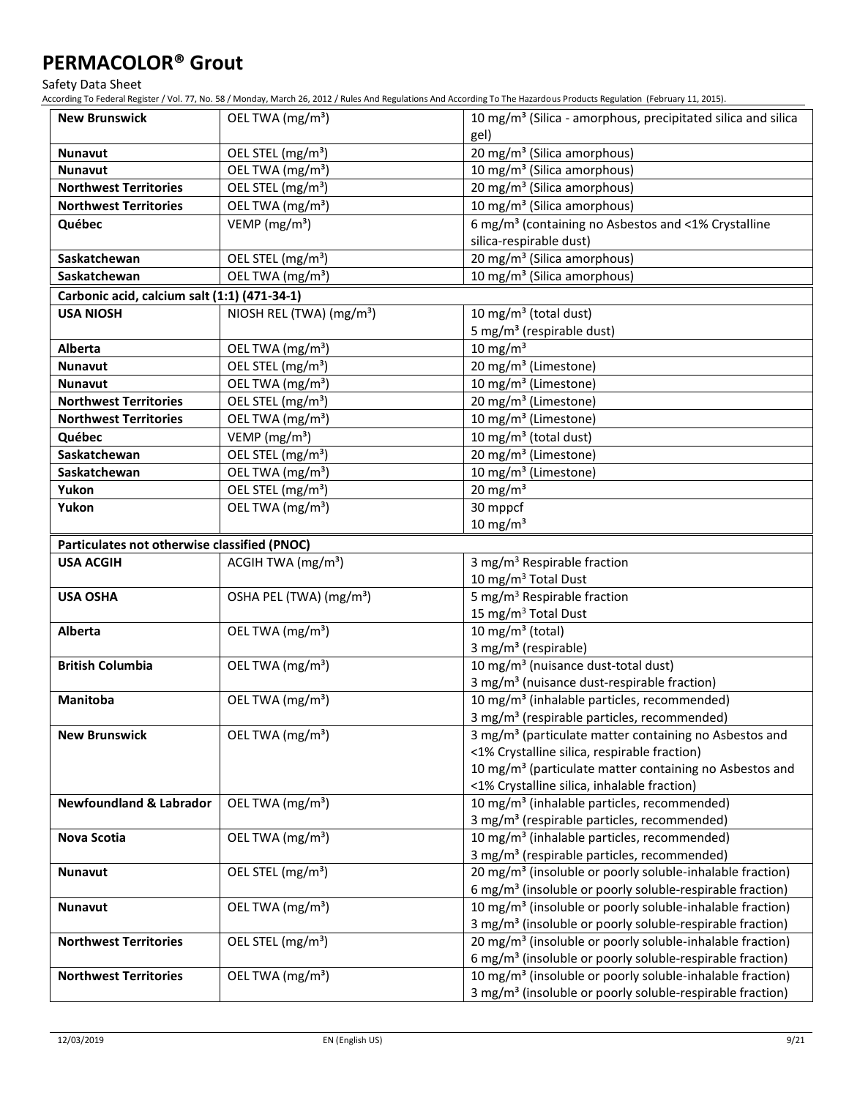Safety Data Sheet

| <b>New Brunswick</b>                         | OEL TWA (mg/m <sup>3</sup> )         | 10 mg/m <sup>3</sup> (Silica - amorphous, precipitated silica and silica                                                                       |
|----------------------------------------------|--------------------------------------|------------------------------------------------------------------------------------------------------------------------------------------------|
|                                              |                                      | gel)                                                                                                                                           |
| <b>Nunavut</b>                               | OEL STEL (mg/m <sup>3</sup> )        | 20 mg/m <sup>3</sup> (Silica amorphous)                                                                                                        |
| <b>Nunavut</b>                               | OEL TWA (mg/m <sup>3</sup> )         | 10 mg/m <sup>3</sup> (Silica amorphous)                                                                                                        |
| <b>Northwest Territories</b>                 | OEL STEL (mg/m <sup>3</sup> )        | 20 mg/m <sup>3</sup> (Silica amorphous)                                                                                                        |
| <b>Northwest Territories</b>                 | OEL TWA (mg/m <sup>3</sup> )         | 10 mg/m <sup>3</sup> (Silica amorphous)                                                                                                        |
| Québec                                       | VEMP ( $mg/m3$ )                     | 6 mg/m <sup>3</sup> (containing no Asbestos and <1% Crystalline                                                                                |
|                                              |                                      | silica-respirable dust)                                                                                                                        |
| Saskatchewan                                 | OEL STEL (mg/m <sup>3</sup> )        | 20 mg/m <sup>3</sup> (Silica amorphous)                                                                                                        |
| Saskatchewan                                 | OEL TWA (mg/m <sup>3</sup> )         | 10 mg/m <sup>3</sup> (Silica amorphous)                                                                                                        |
| Carbonic acid, calcium salt (1:1) (471-34-1) |                                      |                                                                                                                                                |
| <b>USA NIOSH</b>                             | NIOSH REL (TWA) (mg/m <sup>3</sup> ) | 10 mg/m <sup>3</sup> (total dust)                                                                                                              |
|                                              |                                      | 5 mg/m <sup>3</sup> (respirable dust)                                                                                                          |
| Alberta                                      | OEL TWA (mg/m <sup>3</sup> )         | $10 \text{ mg/m}^3$                                                                                                                            |
| <b>Nunavut</b>                               | OEL STEL (mg/m <sup>3</sup> )        | $20 \,\mathrm{mg/m^3}$ (Limestone)                                                                                                             |
| <b>Nunavut</b>                               | OEL TWA (mg/m <sup>3</sup> )         | $\overline{10 \text{ mg}}/\text{m}^3$ (Limestone)                                                                                              |
| <b>Northwest Territories</b>                 | OEL STEL (mg/m <sup>3</sup> )        | $\overline{20}$ mg/m <sup>3</sup> (Limestone)                                                                                                  |
| <b>Northwest Territories</b>                 | OEL TWA (mg/m <sup>3</sup> )         | 10 mg/m <sup>3</sup> (Limestone)                                                                                                               |
| Québec                                       | VEMP (mg/m <sup>3</sup> )            | $\frac{10 \text{ mg}}{m^3}$ (total dust)                                                                                                       |
| Saskatchewan                                 | OEL STEL (mg/m <sup>3</sup> )        | 20 mg/m <sup>3</sup> (Limestone)                                                                                                               |
| Saskatchewan                                 | OEL TWA (mg/m <sup>3</sup> )         | 10 mg/m <sup>3</sup> (Limestone)                                                                                                               |
| Yukon                                        | OEL STEL (mg/m <sup>3</sup> )        | $20 \text{ mg/m}^3$                                                                                                                            |
| Yukon                                        | OEL TWA (mg/m <sup>3</sup> )         | 30 mppcf                                                                                                                                       |
|                                              |                                      | $10 \text{ mg/m}^3$                                                                                                                            |
| Particulates not otherwise classified (PNOC) |                                      |                                                                                                                                                |
| <b>USA ACGIH</b>                             | ACGIH TWA (mg/m <sup>3</sup> )       | 3 mg/m <sup>3</sup> Respirable fraction                                                                                                        |
|                                              |                                      | 10 mg/m <sup>3</sup> Total Dust                                                                                                                |
| <b>USA OSHA</b>                              | OSHA PEL (TWA) (mg/m <sup>3</sup> )  | 5 mg/m <sup>3</sup> Respirable fraction                                                                                                        |
|                                              |                                      | 15 mg/m <sup>3</sup> Total Dust                                                                                                                |
| Alberta                                      | OEL TWA (mg/m <sup>3</sup> )         | 10 mg/m $3$ (total)                                                                                                                            |
|                                              |                                      | 3 mg/m <sup>3</sup> (respirable)                                                                                                               |
|                                              |                                      |                                                                                                                                                |
| <b>British Columbia</b>                      | OEL TWA (mg/m <sup>3</sup> )         | 10 mg/m <sup>3</sup> (nuisance dust-total dust)                                                                                                |
|                                              |                                      | 3 mg/m <sup>3</sup> (nuisance dust-respirable fraction)                                                                                        |
| Manitoba                                     | OEL TWA (mg/m <sup>3</sup> )         | 10 mg/m <sup>3</sup> (inhalable particles, recommended)                                                                                        |
|                                              |                                      | 3 mg/m <sup>3</sup> (respirable particles, recommended)                                                                                        |
| <b>New Brunswick</b>                         | OEL TWA (mg/m <sup>3</sup> )         | 3 mg/m <sup>3</sup> (particulate matter containing no Asbestos and                                                                             |
|                                              |                                      | <1% Crystalline silica, respirable fraction)                                                                                                   |
|                                              |                                      | 10 mg/m <sup>3</sup> (particulate matter containing no Asbestos and                                                                            |
|                                              |                                      | <1% Crystalline silica, inhalable fraction)                                                                                                    |
| <b>Newfoundland &amp; Labrador</b>           | OEL TWA (mg/m <sup>3</sup> )         | 10 mg/m <sup>3</sup> (inhalable particles, recommended)                                                                                        |
|                                              |                                      | 3 mg/m <sup>3</sup> (respirable particles, recommended)                                                                                        |
| Nova Scotia                                  | OEL TWA (mg/m <sup>3</sup> )         | 10 mg/m <sup>3</sup> (inhalable particles, recommended)                                                                                        |
|                                              |                                      | 3 mg/m <sup>3</sup> (respirable particles, recommended)                                                                                        |
| <b>Nunavut</b>                               | OEL STEL (mg/m <sup>3</sup> )        | 20 mg/m <sup>3</sup> (insoluble or poorly soluble-inhalable fraction)                                                                          |
|                                              |                                      | 6 mg/m <sup>3</sup> (insoluble or poorly soluble-respirable fraction)                                                                          |
| <b>Nunavut</b>                               | OEL TWA (mg/m <sup>3</sup> )         | 10 mg/m <sup>3</sup> (insoluble or poorly soluble-inhalable fraction)                                                                          |
|                                              |                                      | 3 mg/m <sup>3</sup> (insoluble or poorly soluble-respirable fraction)                                                                          |
| <b>Northwest Territories</b>                 | OEL STEL (mg/m <sup>3</sup> )        | 20 mg/m <sup>3</sup> (insoluble or poorly soluble-inhalable fraction)                                                                          |
| <b>Northwest Territories</b>                 | OEL TWA (mg/m <sup>3</sup> )         | 6 mg/m <sup>3</sup> (insoluble or poorly soluble-respirable fraction)<br>10 mg/m <sup>3</sup> (insoluble or poorly soluble-inhalable fraction) |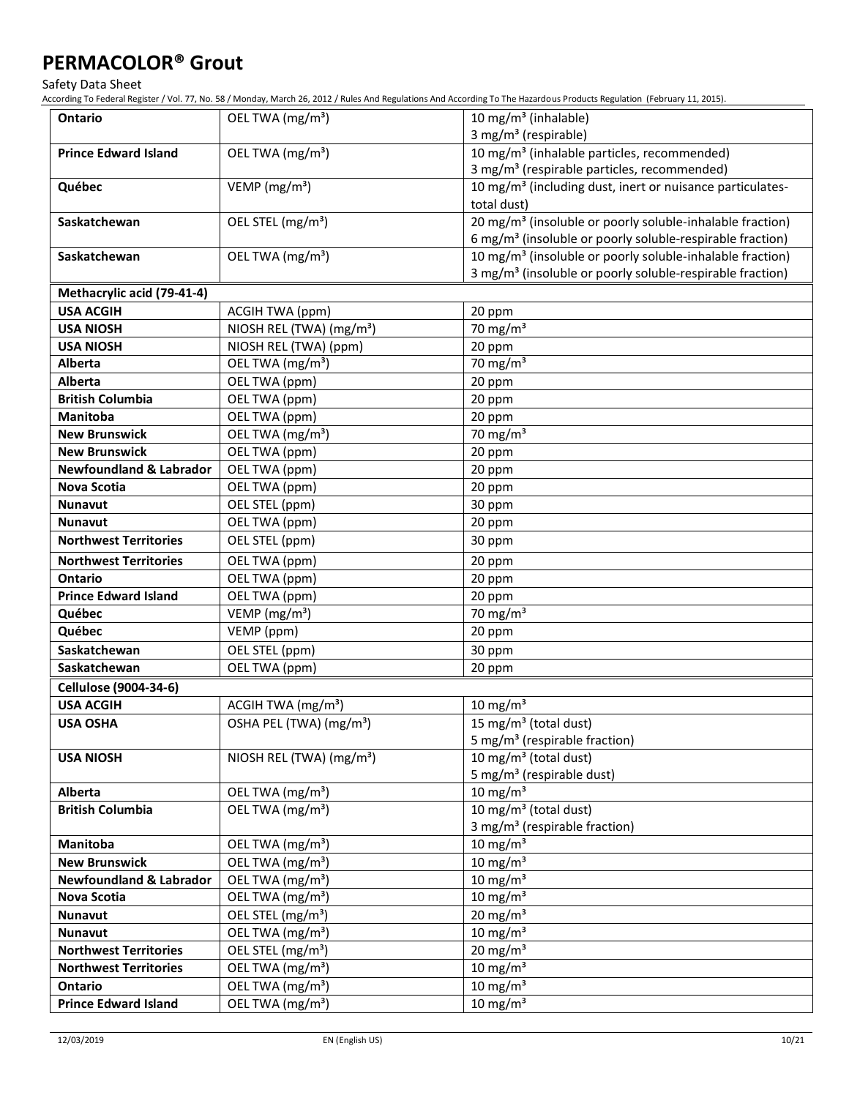Safety Data Sheet

| Ontario                            | OEL TWA (mg/m <sup>3</sup> )         | 10 mg/m <sup>3</sup> (inhalable)                                      |
|------------------------------------|--------------------------------------|-----------------------------------------------------------------------|
|                                    |                                      | 3 mg/m <sup>3</sup> (respirable)                                      |
| <b>Prince Edward Island</b>        | OEL TWA (mg/m <sup>3</sup> )         | 10 mg/m <sup>3</sup> (inhalable particles, recommended)               |
|                                    |                                      | 3 mg/m <sup>3</sup> (respirable particles, recommended)               |
| Québec                             | VEMP ( $mg/m3$ )                     | 10 mg/m <sup>3</sup> (including dust, inert or nuisance particulates- |
|                                    |                                      | total dust)                                                           |
| Saskatchewan                       | OEL STEL (mg/m <sup>3</sup> )        | 20 mg/m <sup>3</sup> (insoluble or poorly soluble-inhalable fraction) |
|                                    |                                      | 6 mg/m <sup>3</sup> (insoluble or poorly soluble-respirable fraction) |
| Saskatchewan                       | OEL TWA (mg/m <sup>3</sup> )         | 10 mg/m <sup>3</sup> (insoluble or poorly soluble-inhalable fraction) |
|                                    |                                      | 3 mg/m <sup>3</sup> (insoluble or poorly soluble-respirable fraction) |
| Methacrylic acid (79-41-4)         |                                      |                                                                       |
| <b>USA ACGIH</b>                   | ACGIH TWA (ppm)                      | 20 ppm                                                                |
| <b>USA NIOSH</b>                   | NIOSH REL (TWA) (mg/m <sup>3</sup> ) | 70 mg/m $3$                                                           |
| <b>USA NIOSH</b>                   | NIOSH REL (TWA) (ppm)                | 20 ppm                                                                |
| Alberta                            | OEL TWA (mg/m <sup>3</sup> )         | 70 mg/m $3$                                                           |
| <b>Alberta</b>                     | OEL TWA (ppm)                        | 20 ppm                                                                |
| <b>British Columbia</b>            | OEL TWA (ppm)                        | 20 ppm                                                                |
| <b>Manitoba</b>                    | OEL TWA (ppm)                        | 20 ppm                                                                |
| <b>New Brunswick</b>               | OEL TWA (mg/m <sup>3</sup> )         | 70 mg/m $3$                                                           |
| <b>New Brunswick</b>               | OEL TWA (ppm)                        | 20 ppm                                                                |
| <b>Newfoundland &amp; Labrador</b> | OEL TWA (ppm)                        | 20 ppm                                                                |
| <b>Nova Scotia</b>                 | OEL TWA (ppm)                        | 20 ppm                                                                |
| <b>Nunavut</b>                     | OEL STEL (ppm)                       | 30 ppm                                                                |
| <b>Nunavut</b>                     | OEL TWA (ppm)                        | 20 ppm                                                                |
| <b>Northwest Territories</b>       | OEL STEL (ppm)                       | 30 ppm                                                                |
| <b>Northwest Territories</b>       | OEL TWA (ppm)                        | 20 ppm                                                                |
| Ontario                            | OEL TWA (ppm)                        | 20 ppm                                                                |
| <b>Prince Edward Island</b>        | OEL TWA (ppm)                        | 20 ppm                                                                |
| Québec                             | VEMP (mg/m <sup>3</sup> )            | 70 mg/m $3$                                                           |
| Québec                             | VEMP (ppm)                           | 20 ppm                                                                |
| Saskatchewan                       | OEL STEL (ppm)                       | 30 ppm                                                                |
| Saskatchewan                       | OEL TWA (ppm)                        | 20 ppm                                                                |
| Cellulose (9004-34-6)              |                                      |                                                                       |
| <b>USA ACGIH</b>                   | ACGIH TWA (mg/m <sup>3</sup> )       | $10 \text{ mg/m}^3$                                                   |
| <b>USA OSHA</b>                    | OSHA PEL (TWA) (mg/m <sup>3</sup> )  | 15 mg/m <sup>3</sup> (total dust)                                     |
|                                    |                                      | 5 mg/m <sup>3</sup> (respirable fraction)                             |
| <b>USA NIOSH</b>                   | NIOSH REL (TWA) (mg/m <sup>3</sup> ) | 10 mg/m <sup>3</sup> (total dust)                                     |
|                                    |                                      | 5 mg/m <sup>3</sup> (respirable dust)                                 |
| Alberta                            | OEL TWA (mg/m <sup>3</sup> )         | $10 \text{ mg/m}^3$                                                   |
| <b>British Columbia</b>            | OEL TWA (mg/m <sup>3</sup> )         | 10 mg/m <sup>3</sup> (total dust)                                     |
|                                    |                                      | 3 mg/m <sup>3</sup> (respirable fraction)                             |
| Manitoba                           | OEL TWA (mg/m <sup>3</sup> )         | $10 \text{ mg/m}^3$                                                   |
| <b>New Brunswick</b>               | OEL TWA (mg/m <sup>3</sup> )         | $10 \text{ mg/m}^3$                                                   |
| <b>Newfoundland &amp; Labrador</b> | OEL TWA (mg/m <sup>3</sup> )         | $10 \text{ mg/m}^3$                                                   |
| Nova Scotia                        | OEL TWA (mg/m <sup>3</sup> )         | $10 \text{ mg/m}^3$                                                   |
| Nunavut                            | OEL STEL (mg/m <sup>3</sup> )        | 20 mg/m $3$                                                           |
| <b>Nunavut</b>                     | OEL TWA (mg/m <sup>3</sup> )         | $10 \text{ mg/m}^3$                                                   |
| <b>Northwest Territories</b>       | OEL STEL (mg/m <sup>3</sup> )        | 20 mg/m $3$                                                           |
| <b>Northwest Territories</b>       | OEL TWA (mg/m <sup>3</sup> )         | $10 \text{ mg/m}^3$                                                   |
| <b>Ontario</b>                     | OEL TWA (mg/m <sup>3</sup> )         | $10 \text{ mg/m}^3$                                                   |
| <b>Prince Edward Island</b>        | OEL TWA (mg/m <sup>3</sup> )         | 10 mg/m $3$                                                           |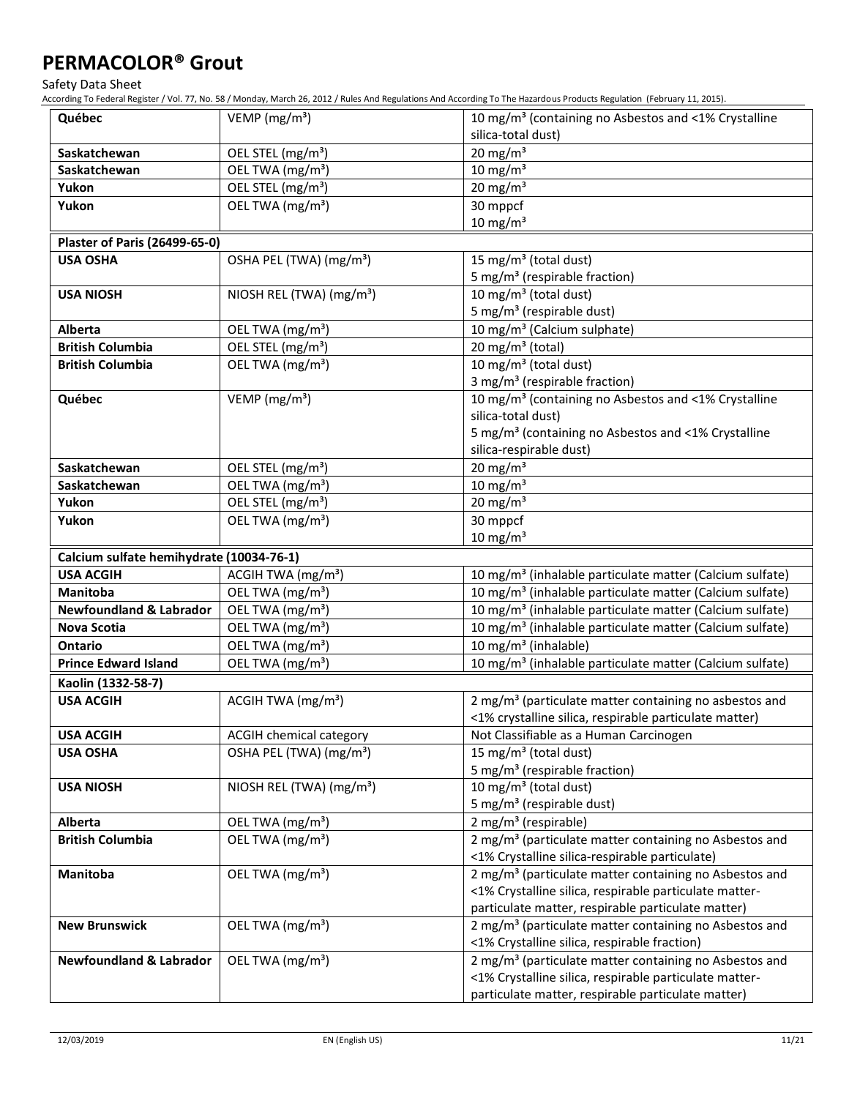Safety Data Sheet

| Québec                                   | VEMP ( $mg/m3$ )                     | 10 mg/m <sup>3</sup> (containing no Asbestos and <1% Crystalline                                                                                                                                                                   |
|------------------------------------------|--------------------------------------|------------------------------------------------------------------------------------------------------------------------------------------------------------------------------------------------------------------------------------|
|                                          |                                      | silica-total dust)                                                                                                                                                                                                                 |
| Saskatchewan                             | OEL STEL (mg/m <sup>3</sup> )        | $20$ mg/m <sup>3</sup>                                                                                                                                                                                                             |
| Saskatchewan                             | OEL TWA (mg/m <sup>3</sup> )         | $10 \text{ mg/m}^3$                                                                                                                                                                                                                |
| Yukon                                    | OEL STEL (mg/m <sup>3</sup> )        | 20 mg/m $3$                                                                                                                                                                                                                        |
| Yukon                                    | OEL TWA (mg/m <sup>3</sup> )         | 30 mppcf                                                                                                                                                                                                                           |
|                                          |                                      | $10 \text{ mg/m}^3$                                                                                                                                                                                                                |
| <b>Plaster of Paris (26499-65-0)</b>     |                                      |                                                                                                                                                                                                                                    |
| <b>USA OSHA</b>                          | OSHA PEL (TWA) (mg/m <sup>3</sup> )  | 15 mg/m <sup>3</sup> (total dust)                                                                                                                                                                                                  |
|                                          |                                      | 5 mg/m <sup>3</sup> (respirable fraction)                                                                                                                                                                                          |
| <b>USA NIOSH</b>                         | NIOSH REL (TWA) (mg/m <sup>3</sup> ) | 10 mg/m <sup>3</sup> (total dust)                                                                                                                                                                                                  |
|                                          |                                      | 5 mg/m <sup>3</sup> (respirable dust)                                                                                                                                                                                              |
| Alberta                                  | OEL TWA (mg/m <sup>3</sup> )         | 10 mg/m <sup>3</sup> (Calcium sulphate)                                                                                                                                                                                            |
| <b>British Columbia</b>                  | OEL STEL (mg/m <sup>3</sup> )        | 20 mg/m $3$ (total)                                                                                                                                                                                                                |
| <b>British Columbia</b>                  | OEL TWA (mg/m <sup>3</sup> )         | 10 mg/m <sup>3</sup> (total dust)                                                                                                                                                                                                  |
|                                          |                                      | 3 mg/m <sup>3</sup> (respirable fraction)                                                                                                                                                                                          |
| Québec                                   | VEMP ( $mg/m3$ )                     | 10 mg/m <sup>3</sup> (containing no Asbestos and <1% Crystalline                                                                                                                                                                   |
|                                          |                                      | silica-total dust)                                                                                                                                                                                                                 |
|                                          |                                      | 5 mg/m <sup>3</sup> (containing no Asbestos and <1% Crystalline                                                                                                                                                                    |
|                                          |                                      | silica-respirable dust)                                                                                                                                                                                                            |
| Saskatchewan                             | OEL STEL (mg/m <sup>3</sup> )        | $20$ mg/m <sup>3</sup>                                                                                                                                                                                                             |
| Saskatchewan                             | OEL TWA (mg/m <sup>3</sup> )         | $10 \text{ mg/m}^3$                                                                                                                                                                                                                |
| Yukon                                    | OEL STEL (mg/m <sup>3</sup> )        | $20 \text{ mg/m}^3$                                                                                                                                                                                                                |
| Yukon                                    | OEL TWA (mg/m <sup>3</sup> )         | 30 mppcf                                                                                                                                                                                                                           |
|                                          |                                      | $10 \text{ mg/m}^3$                                                                                                                                                                                                                |
| Calcium sulfate hemihydrate (10034-76-1) |                                      |                                                                                                                                                                                                                                    |
| <b>USA ACGIH</b>                         | ACGIH TWA (mg/m <sup>3</sup> )       | 10 mg/m <sup>3</sup> (inhalable particulate matter (Calcium sulfate)                                                                                                                                                               |
| <b>Manitoba</b>                          | OEL TWA (mg/m <sup>3</sup> )         | 10 mg/m <sup>3</sup> (inhalable particulate matter (Calcium sulfate)                                                                                                                                                               |
| <b>Newfoundland &amp; Labrador</b>       | OEL TWA (mg/m <sup>3</sup> )         | 10 mg/m <sup>3</sup> (inhalable particulate matter (Calcium sulfate)                                                                                                                                                               |
| Nova Scotia                              | OEL TWA (mg/m <sup>3</sup> )         | 10 mg/m <sup>3</sup> (inhalable particulate matter (Calcium sulfate)                                                                                                                                                               |
| <b>Ontario</b>                           | OEL TWA (mg/m <sup>3</sup> )         | 10 mg/m <sup>3</sup> (inhalable)                                                                                                                                                                                                   |
| <b>Prince Edward Island</b>              | OEL TWA (mg/m <sup>3</sup> )         | 10 mg/m <sup>3</sup> (inhalable particulate matter (Calcium sulfate)                                                                                                                                                               |
| Kaolin (1332-58-7)                       |                                      |                                                                                                                                                                                                                                    |
| <b>USA ACGIH</b>                         | ACGIH TWA (mg/m <sup>3</sup> )       | 2 mg/m <sup>3</sup> (particulate matter containing no asbestos and                                                                                                                                                                 |
|                                          |                                      | <1% crystalline silica, respirable particulate matter)                                                                                                                                                                             |
| <b>USA ACGIH</b>                         | ACGIH chemical category              | Not Classifiable as a Human Carcinogen                                                                                                                                                                                             |
| <b>USA OSHA</b>                          | OSHA PEL (TWA) (mg/m <sup>3</sup> )  | 15 mg/m <sup>3</sup> (total dust)                                                                                                                                                                                                  |
|                                          |                                      | 5 mg/m <sup>3</sup> (respirable fraction)                                                                                                                                                                                          |
| <b>USA NIOSH</b>                         | NIOSH REL (TWA) (mg/m <sup>3</sup> ) | 10 mg/m <sup>3</sup> (total dust)                                                                                                                                                                                                  |
|                                          |                                      | 5 mg/m <sup>3</sup> (respirable dust)                                                                                                                                                                                              |
| Alberta                                  | OEL TWA (mg/m <sup>3</sup> )         | 2 mg/m <sup>3</sup> (respirable)                                                                                                                                                                                                   |
| <b>British Columbia</b>                  | OEL TWA (mg/m <sup>3</sup> )         | 2 mg/m <sup>3</sup> (particulate matter containing no Asbestos and                                                                                                                                                                 |
|                                          |                                      | <1% Crystalline silica-respirable particulate)                                                                                                                                                                                     |
| Manitoba                                 | OEL TWA (mg/m <sup>3</sup> )         | 2 mg/m <sup>3</sup> (particulate matter containing no Asbestos and                                                                                                                                                                 |
|                                          |                                      | <1% Crystalline silica, respirable particulate matter-                                                                                                                                                                             |
|                                          |                                      | particulate matter, respirable particulate matter)                                                                                                                                                                                 |
| <b>New Brunswick</b>                     | OEL TWA (mg/m <sup>3</sup> )         | 2 mg/m <sup>3</sup> (particulate matter containing no Asbestos and                                                                                                                                                                 |
|                                          |                                      |                                                                                                                                                                                                                                    |
|                                          |                                      |                                                                                                                                                                                                                                    |
|                                          |                                      |                                                                                                                                                                                                                                    |
| <b>Newfoundland &amp; Labrador</b>       | OEL TWA (mg/m <sup>3</sup> )         | <1% Crystalline silica, respirable fraction)<br>2 mg/m <sup>3</sup> (particulate matter containing no Asbestos and<br><1% Crystalline silica, respirable particulate matter-<br>particulate matter, respirable particulate matter) |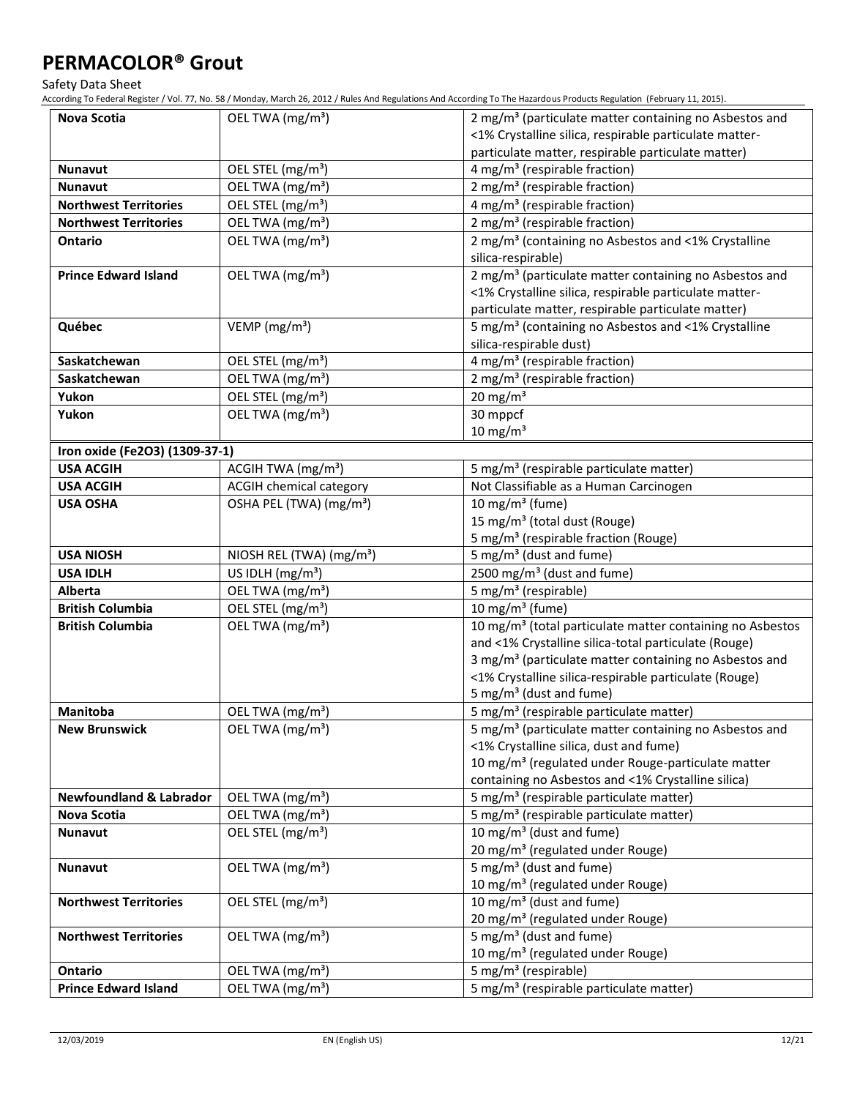Safety Data Sheet

| <b>Nova Scotia</b>                 | OEL TWA (mg/m <sup>3</sup> )         | 2 mg/m <sup>3</sup> (particulate matter containing no Asbestos and    |
|------------------------------------|--------------------------------------|-----------------------------------------------------------------------|
|                                    |                                      | <1% Crystalline silica, respirable particulate matter-                |
|                                    |                                      | particulate matter, respirable particulate matter)                    |
| <b>Nunavut</b>                     | OEL STEL (mg/m <sup>3</sup> )        | 4 mg/m <sup>3</sup> (respirable fraction)                             |
| <b>Nunavut</b>                     | OEL TWA (mg/m <sup>3</sup> )         | 2 mg/m <sup>3</sup> (respirable fraction)                             |
| <b>Northwest Territories</b>       | OEL STEL (mg/m <sup>3</sup> )        | 4 mg/m <sup>3</sup> (respirable fraction)                             |
| <b>Northwest Territories</b>       | OEL TWA (mg/m <sup>3</sup> )         | 2 mg/m <sup>3</sup> (respirable fraction)                             |
| <b>Ontario</b>                     | OEL TWA (mg/m <sup>3</sup> )         | 2 mg/m <sup>3</sup> (containing no Asbestos and <1% Crystalline       |
|                                    |                                      | silica-respirable)                                                    |
| <b>Prince Edward Island</b>        | OEL TWA (mg/m <sup>3</sup> )         | 2 mg/m <sup>3</sup> (particulate matter containing no Asbestos and    |
|                                    |                                      | <1% Crystalline silica, respirable particulate matter-                |
|                                    |                                      | particulate matter, respirable particulate matter)                    |
| Québec                             | VEMP ( $mg/m3$ )                     | 5 mg/m <sup>3</sup> (containing no Asbestos and <1% Crystalline       |
|                                    |                                      | silica-respirable dust)                                               |
| Saskatchewan                       | OEL STEL (mg/m <sup>3</sup> )        | 4 mg/m <sup>3</sup> (respirable fraction)                             |
| Saskatchewan                       | OEL TWA (mg/m <sup>3</sup> )         | 2 mg/m <sup>3</sup> (respirable fraction)                             |
| Yukon                              | OEL STEL (mg/m <sup>3</sup> )        | 20 mg/m $3$                                                           |
| Yukon                              | OEL TWA (mg/m <sup>3</sup> )         | 30 mppcf                                                              |
|                                    |                                      | $10 \text{ mg/m}^3$                                                   |
| Iron oxide (Fe2O3) (1309-37-1)     |                                      |                                                                       |
| <b>USA ACGIH</b>                   | ACGIH TWA (mg/m <sup>3</sup> )       | 5 mg/m <sup>3</sup> (respirable particulate matter)                   |
| <b>USA ACGIH</b>                   | <b>ACGIH chemical category</b>       | Not Classifiable as a Human Carcinogen                                |
| <b>USA OSHA</b>                    | OSHA PEL (TWA) (mg/m <sup>3</sup> )  | 10 mg/m <sup>3</sup> (fume)                                           |
|                                    |                                      | 15 mg/m <sup>3</sup> (total dust (Rouge)                              |
|                                    |                                      | 5 mg/m <sup>3</sup> (respirable fraction (Rouge)                      |
| <b>USA NIOSH</b>                   | NIOSH REL (TWA) (mg/m <sup>3</sup> ) | 5 mg/m <sup>3</sup> (dust and fume)                                   |
| <b>USA IDLH</b>                    | US IDLH $(mg/m3)$                    | 2500 mg/m <sup>3</sup> (dust and fume)                                |
| Alberta                            | OEL TWA (mg/m <sup>3</sup> )         | 5 mg/m <sup>3</sup> (respirable)                                      |
| <b>British Columbia</b>            | OEL STEL (mg/m <sup>3</sup> )        | 10 mg/m $3$ (fume)                                                    |
| <b>British Columbia</b>            | OEL TWA (mg/m <sup>3</sup> )         | 10 mg/m <sup>3</sup> (total particulate matter containing no Asbestos |
|                                    |                                      | and <1% Crystalline silica-total particulate (Rouge)                  |
|                                    |                                      | 3 mg/m <sup>3</sup> (particulate matter containing no Asbestos and    |
|                                    |                                      | <1% Crystalline silica-respirable particulate (Rouge)                 |
|                                    |                                      | 5 mg/m <sup>3</sup> (dust and fume)                                   |
| Manitoba                           | OEL TWA (mg/m <sup>3</sup> )         | 5 mg/m <sup>3</sup> (respirable particulate matter)                   |
| <b>New Brunswick</b>               | OEL TWA (mg/m <sup>3</sup> )         | 5 mg/m <sup>3</sup> (particulate matter containing no Asbestos and    |
|                                    |                                      | <1% Crystalline silica, dust and fume)                                |
|                                    |                                      | 10 mg/m <sup>3</sup> (regulated under Rouge-particulate matter        |
|                                    |                                      | containing no Asbestos and <1% Crystalline silica)                    |
| <b>Newfoundland &amp; Labrador</b> | OEL TWA (mg/m <sup>3</sup> )         | 5 mg/m <sup>3</sup> (respirable particulate matter)                   |
| Nova Scotia                        | OEL TWA (mg/m <sup>3</sup> )         | 5 mg/m <sup>3</sup> (respirable particulate matter)                   |
| <b>Nunavut</b>                     | OEL STEL (mg/m <sup>3</sup> )        | 10 mg/m <sup>3</sup> (dust and fume)                                  |
|                                    |                                      | 20 mg/m <sup>3</sup> (regulated under Rouge)                          |
| <b>Nunavut</b>                     | OEL TWA (mg/m <sup>3</sup> )         | 5 mg/m <sup>3</sup> (dust and fume)                                   |
|                                    |                                      | 10 mg/m <sup>3</sup> (regulated under Rouge)                          |
| <b>Northwest Territories</b>       | OEL STEL (mg/m <sup>3</sup> )        | 10 mg/m <sup>3</sup> (dust and fume)                                  |
|                                    |                                      | 20 mg/m <sup>3</sup> (regulated under Rouge)                          |
| <b>Northwest Territories</b>       | OEL TWA (mg/m <sup>3</sup> )         | 5 mg/m <sup>3</sup> (dust and fume)                                   |
|                                    |                                      | 10 mg/m <sup>3</sup> (regulated under Rouge)                          |
| Ontario                            | OEL TWA (mg/m <sup>3</sup> )         | 5 mg/m <sup>3</sup> (respirable)                                      |
| <b>Prince Edward Island</b>        | OEL TWA (mg/m <sup>3</sup> )         | 5 mg/m <sup>3</sup> (respirable particulate matter)                   |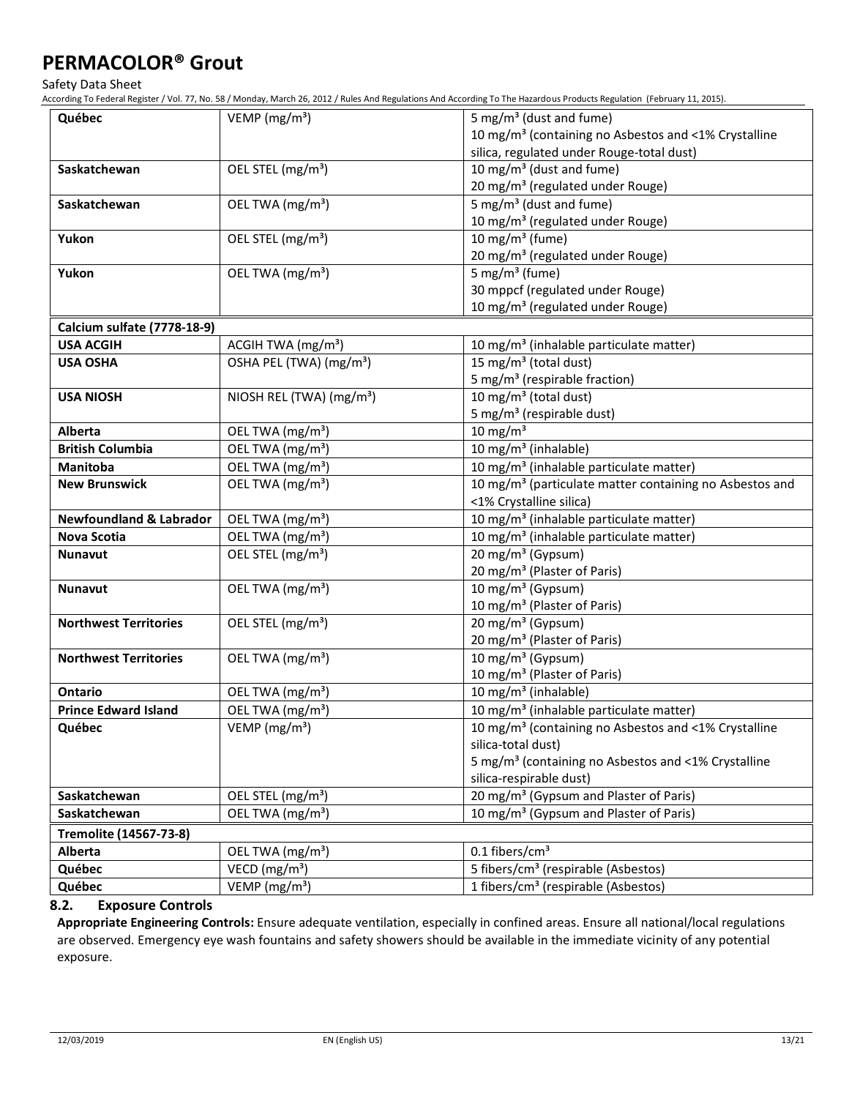Safety Data Sheet

According To Federal Register / Vol. 77, No. 58 / Monday, March 26, 2012 / Rules And Regulations And According To The Hazardous Products Regulation (February 11, 2015).

| Québec                                                                           | VEMP ( $mg/m3$ )                     | 5 mg/m <sup>3</sup> (dust and fume)                                 |  |
|----------------------------------------------------------------------------------|--------------------------------------|---------------------------------------------------------------------|--|
|                                                                                  |                                      | 10 mg/m <sup>3</sup> (containing no Asbestos and <1% Crystalline    |  |
|                                                                                  |                                      | silica, regulated under Rouge-total dust)                           |  |
| Saskatchewan                                                                     | OEL STEL (mg/m <sup>3</sup> )        | 10 mg/m <sup>3</sup> (dust and fume)                                |  |
|                                                                                  |                                      | 20 mg/m <sup>3</sup> (regulated under Rouge)                        |  |
| Saskatchewan                                                                     | OEL TWA (mg/m <sup>3</sup> )         | 5 mg/m <sup>3</sup> (dust and fume)                                 |  |
|                                                                                  |                                      | 10 mg/m <sup>3</sup> (regulated under Rouge)                        |  |
| Yukon                                                                            | OEL STEL (mg/m <sup>3</sup> )        | 10 mg/m $3$ (fume)                                                  |  |
|                                                                                  |                                      | 20 mg/m <sup>3</sup> (regulated under Rouge)                        |  |
| Yukon                                                                            | OEL TWA (mg/m <sup>3</sup> )         | 5 mg/m <sup>3</sup> (fume)                                          |  |
|                                                                                  |                                      | 30 mppcf (regulated under Rouge)                                    |  |
|                                                                                  |                                      | 10 mg/m <sup>3</sup> (regulated under Rouge)                        |  |
| Calcium sulfate (7778-18-9)                                                      |                                      |                                                                     |  |
| <b>USA ACGIH</b>                                                                 | ACGIH TWA (mg/m <sup>3</sup> )       | 10 mg/m <sup>3</sup> (inhalable particulate matter)                 |  |
| <b>USA OSHA</b>                                                                  | OSHA PEL (TWA) (mg/m <sup>3</sup> )  | 15 mg/m <sup>3</sup> (total dust)                                   |  |
|                                                                                  |                                      | 5 mg/m <sup>3</sup> (respirable fraction)                           |  |
| <b>USA NIOSH</b>                                                                 | NIOSH REL (TWA) (mg/m <sup>3</sup> ) | 10 mg/m <sup>3</sup> (total dust)                                   |  |
|                                                                                  |                                      | 5 mg/m <sup>3</sup> (respirable dust)                               |  |
| <b>Alberta</b>                                                                   | OEL TWA (mg/m <sup>3</sup> )         | $10$ mg/m <sup>3</sup>                                              |  |
| <b>British Columbia</b>                                                          | OEL TWA (mg/m <sup>3</sup> )         | 10 mg/m <sup>3</sup> (inhalable)                                    |  |
| <b>Manitoba</b>                                                                  | OEL TWA (mg/m <sup>3</sup> )         | 10 mg/m <sup>3</sup> (inhalable particulate matter)                 |  |
| <b>New Brunswick</b>                                                             | OEL TWA (mg/m <sup>3</sup> )         | 10 mg/m <sup>3</sup> (particulate matter containing no Asbestos and |  |
|                                                                                  |                                      | <1% Crystalline silica)                                             |  |
| <b>Newfoundland &amp; Labrador</b><br>OEL TWA (mg/m <sup>3</sup> )               |                                      | 10 mg/m <sup>3</sup> (inhalable particulate matter)                 |  |
| OEL TWA (mg/m <sup>3</sup> )<br>Nova Scotia                                      |                                      | 10 mg/m <sup>3</sup> (inhalable particulate matter)                 |  |
| 20 mg/m <sup>3</sup> (Gypsum)<br>OEL STEL (mg/m <sup>3</sup> )<br><b>Nunavut</b> |                                      |                                                                     |  |
|                                                                                  |                                      | 20 mg/m <sup>3</sup> (Plaster of Paris)                             |  |
| OEL TWA (mg/m <sup>3</sup> )<br><b>Nunavut</b>                                   |                                      | 10 mg/m <sup>3</sup> (Gypsum)                                       |  |
|                                                                                  |                                      | 10 mg/m <sup>3</sup> (Plaster of Paris)                             |  |
| <b>Northwest Territories</b>                                                     | OEL STEL (mg/m <sup>3</sup> )        | 20 mg/m <sup>3</sup> (Gypsum)                                       |  |
|                                                                                  |                                      | 20 mg/m <sup>3</sup> (Plaster of Paris)                             |  |
| <b>Northwest Territories</b>                                                     | OEL TWA (mg/m <sup>3</sup> )         | 10 mg/m <sup>3</sup> (Gypsum)                                       |  |
|                                                                                  |                                      | 10 mg/m <sup>3</sup> (Plaster of Paris)                             |  |
| Ontario                                                                          | OEL TWA (mg/m <sup>3</sup> )         | 10 mg/m <sup>3</sup> (inhalable)                                    |  |
| <b>Prince Edward Island</b>                                                      | OEL TWA (mg/m <sup>3</sup> )         | 10 mg/m <sup>3</sup> (inhalable particulate matter)                 |  |
| Québec                                                                           | $VEMP$ (mg/m <sup>3</sup> )          | 10 mg/m <sup>3</sup> (containing no Asbestos and <1% Crystalline    |  |
|                                                                                  |                                      | silica-total dust)                                                  |  |
|                                                                                  |                                      | 5 mg/m <sup>3</sup> (containing no Asbestos and <1% Crystalline     |  |
|                                                                                  |                                      | silica-respirable dust)                                             |  |
| Saskatchewan                                                                     | OEL STEL (mg/m <sup>3</sup> )        | 20 mg/m <sup>3</sup> (Gypsum and Plaster of Paris)                  |  |
| Saskatchewan                                                                     | OEL TWA (mg/m <sup>3</sup> )         | 10 mg/m <sup>3</sup> (Gypsum and Plaster of Paris)                  |  |
| Tremolite (14567-73-8)                                                           |                                      |                                                                     |  |
| Alberta                                                                          | OEL TWA (mg/m <sup>3</sup> )         | $0.1$ fibers/cm <sup>3</sup>                                        |  |
| Québec                                                                           | VECD (mg/m <sup>3</sup> )            | 5 fibers/cm <sup>3</sup> (respirable (Asbestos)                     |  |
|                                                                                  | $VEMP$ (mg/m <sup>3</sup> )          | 1 fibers/cm <sup>3</sup> (respirable (Asbestos)                     |  |
| Québec                                                                           |                                      |                                                                     |  |

### **8.2. Exposure Controls**

**Appropriate Engineering Controls:** Ensure adequate ventilation, especially in confined areas. Ensure all national/local regulations are observed. Emergency eye wash fountains and safety showers should be available in the immediate vicinity of any potential exposure.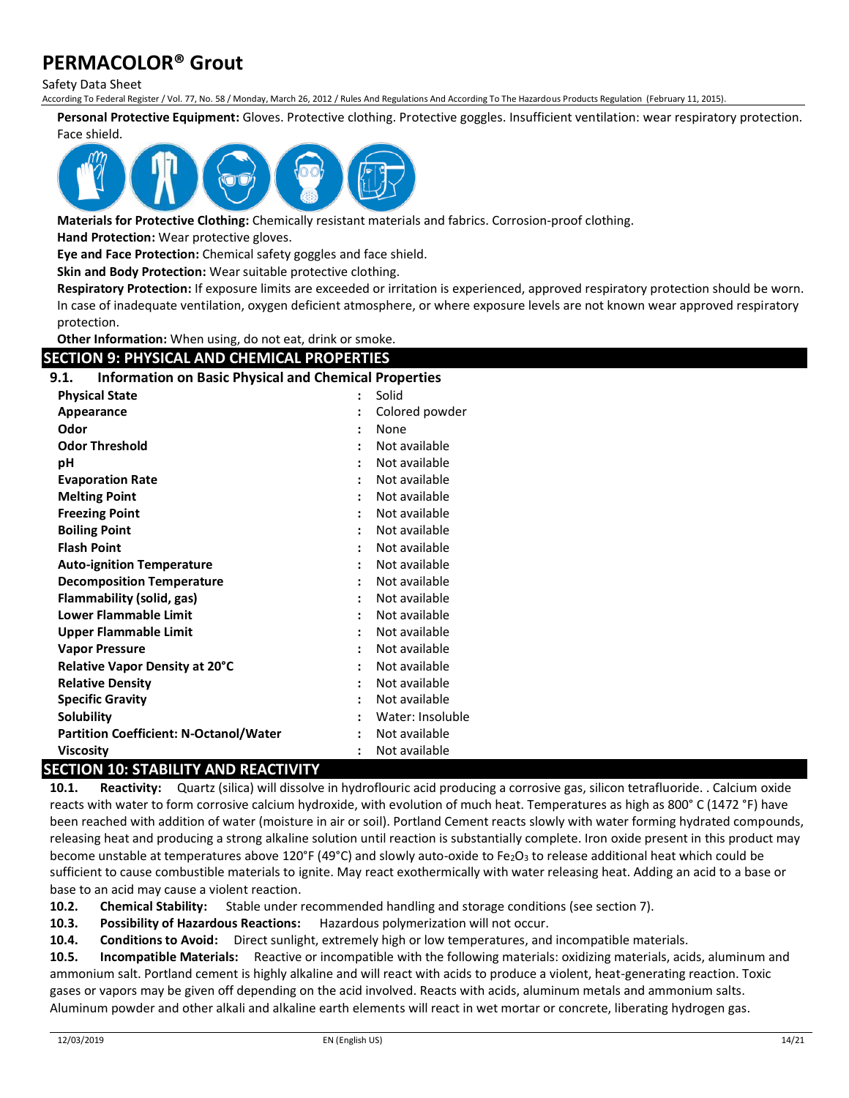Safety Data Sheet

According To Federal Register / Vol. 77, No. 58 / Monday, March 26, 2012 / Rules And Regulations And According To The Hazardous Products Regulation (February 11, 2015).

**Personal Protective Equipment:** Gloves. Protective clothing. Protective goggles. Insufficient ventilation: wear respiratory protection. Face shield.



**Materials for Protective Clothing:** Chemically resistant materials and fabrics. Corrosion-proof clothing.

**Hand Protection:** Wear protective gloves.

**Eye and Face Protection:** Chemical safety goggles and face shield.

**Skin and Body Protection:** Wear suitable protective clothing.

**Respiratory Protection:** If exposure limits are exceeded or irritation is experienced, approved respiratory protection should be worn. In case of inadequate ventilation, oxygen deficient atmosphere, or where exposure levels are not known wear approved respiratory protection.

**Other Information:** When using, do not eat, drink or smoke.

### **SECTION 9: PHYSICAL AND CHEMICAL PROPERTIES**

| <b>Information on Basic Physical and Chemical Properties</b><br>9.1. |                |                  |
|----------------------------------------------------------------------|----------------|------------------|
| <b>Physical State</b>                                                | Solid          |                  |
| Appearance                                                           |                | Colored powder   |
| Odor                                                                 |                | None             |
| <b>Odor Threshold</b>                                                |                | Not available    |
| рH                                                                   |                | Not available    |
| <b>Evaporation Rate</b>                                              |                | Not available    |
| <b>Melting Point</b>                                                 | $\ddot{\cdot}$ | Not available    |
| <b>Freezing Point</b>                                                |                | Not available    |
| <b>Boiling Point</b>                                                 |                | Not available    |
| <b>Flash Point</b>                                                   |                | Not available    |
| <b>Auto-ignition Temperature</b>                                     |                | Not available    |
| <b>Decomposition Temperature</b>                                     |                | Not available    |
| Flammability (solid, gas)                                            |                | Not available    |
| <b>Lower Flammable Limit</b><br>Not available<br>$\ddot{\cdot}$      |                |                  |
| <b>Upper Flammable Limit</b><br>Not available<br>$\ddot{\cdot}$      |                |                  |
| <b>Vapor Pressure</b>                                                |                | Not available    |
| <b>Relative Vapor Density at 20°C</b>                                |                | Not available    |
| <b>Relative Density</b>                                              |                | Not available    |
| <b>Specific Gravity</b><br>Not available                             |                |                  |
| <b>Solubility</b>                                                    |                | Water: Insoluble |
| <b>Partition Coefficient: N-Octanol/Water</b>                        | :              | Not available    |
| Not available<br><b>Viscosity</b>                                    |                |                  |

### **SECTION 10: STABILITY AND REACTIVITY**

**10.1. Reactivity:** Quartz (silica) will dissolve in hydroflouric acid producing a corrosive gas, silicon tetrafluoride. . Calcium oxide reacts with water to form corrosive calcium hydroxide, with evolution of much heat. Temperatures as high as 800° C (1472 °F) have been reached with addition of water (moisture in air or soil). Portland Cement reacts slowly with water forming hydrated compounds, releasing heat and producing a strong alkaline solution until reaction is substantially complete. Iron oxide present in this product may become unstable at temperatures above 120°F (49°C) and slowly auto-oxide to Fe<sub>2</sub>O<sub>3</sub> to release additional heat which could be sufficient to cause combustible materials to ignite. May react exothermically with water releasing heat. Adding an acid to a base or base to an acid may cause a violent reaction.

**10.2. Chemical Stability:** Stable under recommended handling and storage conditions (see section 7).

**10.3. Possibility of Hazardous Reactions:** Hazardous polymerization will not occur.

**10.4. Conditions to Avoid:** Direct sunlight, extremely high or low temperatures, and incompatible materials.

**10.5. Incompatible Materials:** Reactive or incompatible with the following materials: oxidizing materials, acids, aluminum and ammonium salt. Portland cement is highly alkaline and will react with acids to produce a violent, heat-generating reaction. Toxic gases or vapors may be given off depending on the acid involved. Reacts with acids, aluminum metals and ammonium salts. Aluminum powder and other alkali and alkaline earth elements will react in wet mortar or concrete, liberating hydrogen gas.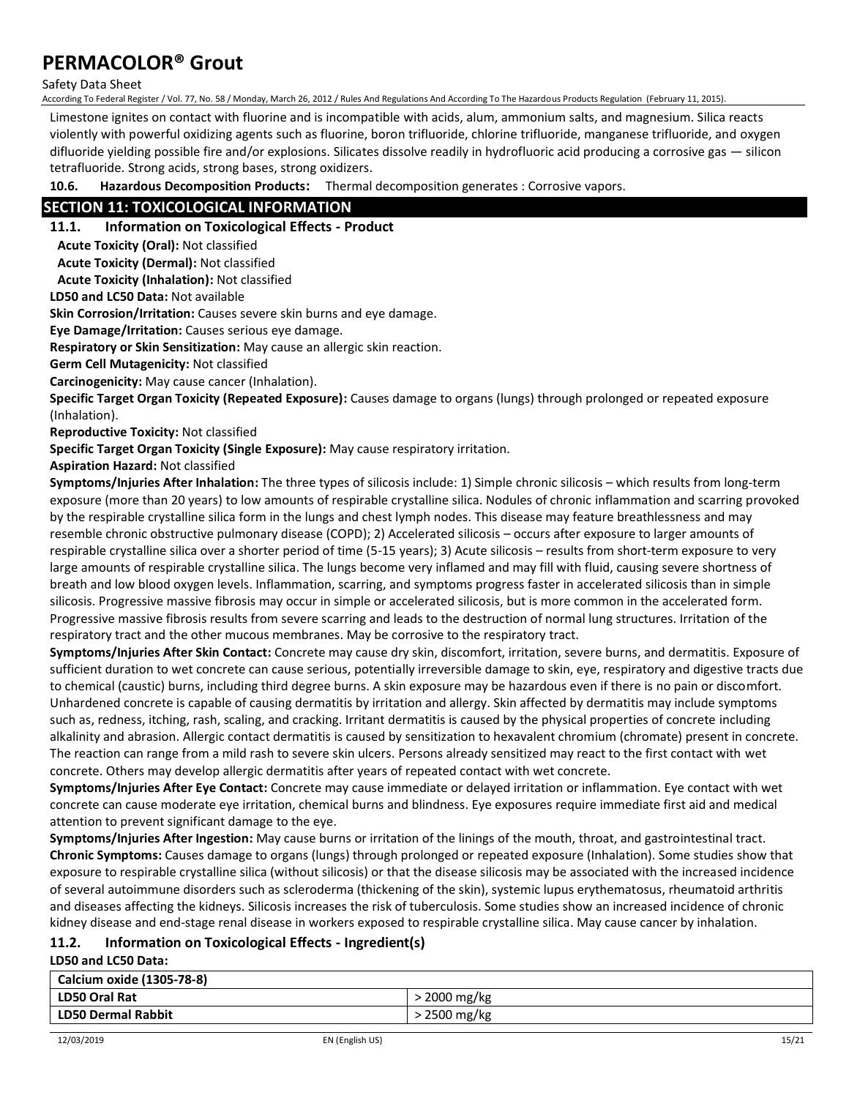#### Safety Data Sheet

According To Federal Register / Vol. 77, No. 58 / Monday, March 26, 2012 / Rules And Regulations And According To The Hazardous Products Regulation (February 11, 2015).

Limestone ignites on contact with fluorine and is incompatible with acids, alum, ammonium salts, and magnesium. Silica reacts violently with powerful oxidizing agents such as fluorine, boron trifluoride, chlorine trifluoride, manganese trifluoride, and oxygen difluoride yielding possible fire and/or explosions. Silicates dissolve readily in hydrofluoric acid producing a corrosive gas — silicon tetrafluoride. Strong acids, strong bases, strong oxidizers.

**10.6. Hazardous Decomposition Products:** Thermal decomposition generates : Corrosive vapors.

### **SECTION 11: TOXICOLOGICAL INFORMATION**

#### **11.1. Information on Toxicological Effects - Product**

**Acute Toxicity (Oral):** Not classified

**Acute Toxicity (Dermal):** Not classified

**Acute Toxicity (Inhalation):** Not classified

**LD50 and LC50 Data:** Not available

**Skin Corrosion/Irritation:** Causes severe skin burns and eye damage.

**Eye Damage/Irritation:** Causes serious eye damage.

**Respiratory or Skin Sensitization:** May cause an allergic skin reaction.

**Germ Cell Mutagenicity:** Not classified

**Carcinogenicity:** May cause cancer (Inhalation).

**Specific Target Organ Toxicity (Repeated Exposure):** Causes damage to organs (lungs) through prolonged or repeated exposure (Inhalation).

**Reproductive Toxicity:** Not classified

**Specific Target Organ Toxicity (Single Exposure):** May cause respiratory irritation.

**Aspiration Hazard:** Not classified

**Symptoms/Injuries After Inhalation:** The three types of silicosis include: 1) Simple chronic silicosis – which results from long-term exposure (more than 20 years) to low amounts of respirable crystalline silica. Nodules of chronic inflammation and scarring provoked by the respirable crystalline silica form in the lungs and chest lymph nodes. This disease may feature breathlessness and may resemble chronic obstructive pulmonary disease (COPD); 2) Accelerated silicosis – occurs after exposure to larger amounts of respirable crystalline silica over a shorter period of time (5-15 years); 3) Acute silicosis – results from short-term exposure to very large amounts of respirable crystalline silica. The lungs become very inflamed and may fill with fluid, causing severe shortness of breath and low blood oxygen levels. Inflammation, scarring, and symptoms progress faster in accelerated silicosis than in simple silicosis. Progressive massive fibrosis may occur in simple or accelerated silicosis, but is more common in the accelerated form. Progressive massive fibrosis results from severe scarring and leads to the destruction of normal lung structures. Irritation of the respiratory tract and the other mucous membranes. May be corrosive to the respiratory tract.

**Symptoms/Injuries After Skin Contact:** Concrete may cause dry skin, discomfort, irritation, severe burns, and dermatitis. Exposure of sufficient duration to wet concrete can cause serious, potentially irreversible damage to skin, eye, respiratory and digestive tracts due to chemical (caustic) burns, including third degree burns. A skin exposure may be hazardous even if there is no pain or discomfort. Unhardened concrete is capable of causing dermatitis by irritation and allergy. Skin affected by dermatitis may include symptoms such as, redness, itching, rash, scaling, and cracking. Irritant dermatitis is caused by the physical properties of concrete including alkalinity and abrasion. Allergic contact dermatitis is caused by sensitization to hexavalent chromium (chromate) present in concrete. The reaction can range from a mild rash to severe skin ulcers. Persons already sensitized may react to the first contact with wet concrete. Others may develop allergic dermatitis after years of repeated contact with wet concrete.

**Symptoms/Injuries After Eye Contact:** Concrete may cause immediate or delayed irritation or inflammation. Eye contact with wet concrete can cause moderate eye irritation, chemical burns and blindness. Eye exposures require immediate first aid and medical attention to prevent significant damage to the eye.

**Symptoms/Injuries After Ingestion:** May cause burns or irritation of the linings of the mouth, throat, and gastrointestinal tract. **Chronic Symptoms:** Causes damage to organs (lungs) through prolonged or repeated exposure (Inhalation). Some studies show that exposure to respirable crystalline silica (without silicosis) or that the disease silicosis may be associated with the increased incidence of several autoimmune disorders such as scleroderma (thickening of the skin), systemic lupus erythematosus, rheumatoid arthritis and diseases affecting the kidneys. Silicosis increases the risk of tuberculosis. Some studies show an increased incidence of chronic kidney disease and end-stage renal disease in workers exposed to respirable crystalline silica. May cause cancer by inhalation.

## **11.2. Information on Toxicological Effects - Ingredient(s)**

**LD50 and LC50 Data:**

| Calcium oxide (1305-78-8) |              |
|---------------------------|--------------|
| LD50 Oral Rat             | > 2000 mg/kg |
| LD50 Dermal Rabbit        | > 2500 mg/kg |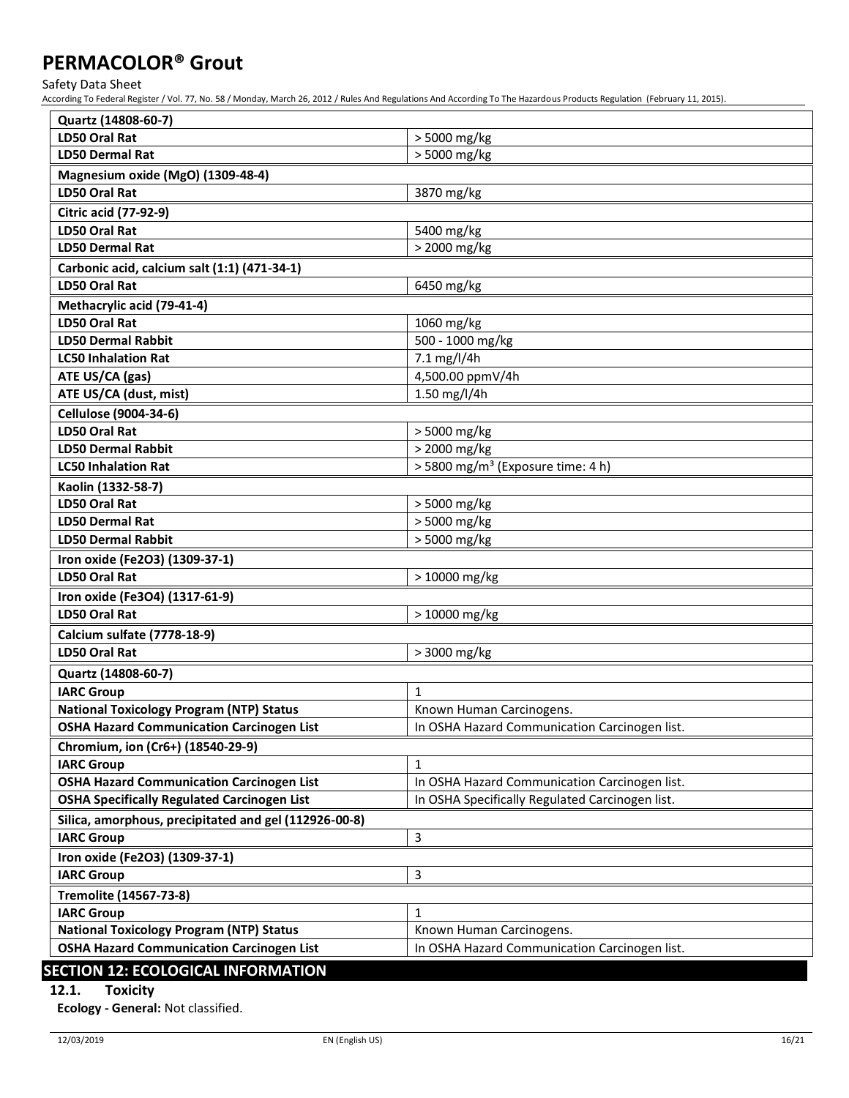Safety Data Sheet

According To Federal Register / Vol. 77, No. 58 / Monday, March 26, 2012 / Rules And Regulations And According To The Hazardous Products Regulation (February 11, 2015).

| Quartz (14808-60-7)                                   |                                                 |  |
|-------------------------------------------------------|-------------------------------------------------|--|
| <b>LD50 Oral Rat</b>                                  | > 5000 mg/kg                                    |  |
| <b>LD50 Dermal Rat</b>                                | > 5000 mg/kg                                    |  |
| Magnesium oxide (MgO) (1309-48-4)                     |                                                 |  |
| <b>LD50 Oral Rat</b>                                  | 3870 mg/kg                                      |  |
| <b>Citric acid (77-92-9)</b>                          |                                                 |  |
| <b>LD50 Oral Rat</b>                                  | 5400 mg/kg                                      |  |
| <b>LD50 Dermal Rat</b>                                | > 2000 mg/kg                                    |  |
| Carbonic acid, calcium salt (1:1) (471-34-1)          |                                                 |  |
| <b>LD50 Oral Rat</b>                                  | 6450 mg/kg                                      |  |
| Methacrylic acid (79-41-4)                            |                                                 |  |
| <b>LD50 Oral Rat</b>                                  | 1060 mg/kg                                      |  |
| <b>LD50 Dermal Rabbit</b>                             | 500 - 1000 mg/kg                                |  |
| <b>LC50 Inhalation Rat</b>                            | 7.1 mg/l/4h                                     |  |
| ATE US/CA (gas)                                       | 4,500.00 ppmV/4h                                |  |
| ATE US/CA (dust, mist)                                | 1.50 mg/l/4h                                    |  |
| <b>Cellulose (9004-34-6)</b>                          |                                                 |  |
| <b>LD50 Oral Rat</b>                                  | > 5000 mg/kg                                    |  |
| <b>LD50 Dermal Rabbit</b>                             | > 2000 mg/kg                                    |  |
| <b>LC50 Inhalation Rat</b>                            | > 5800 mg/m <sup>3</sup> (Exposure time: 4 h)   |  |
| Kaolin (1332-58-7)                                    |                                                 |  |
| <b>LD50 Oral Rat</b>                                  | > 5000 mg/kg                                    |  |
| <b>LD50 Dermal Rat</b>                                | > 5000 mg/kg                                    |  |
| <b>LD50 Dermal Rabbit</b>                             | > 5000 mg/kg                                    |  |
| Iron oxide (Fe2O3) (1309-37-1)                        |                                                 |  |
| <b>LD50 Oral Rat</b>                                  | $>10000$ mg/kg                                  |  |
| Iron oxide (Fe3O4) (1317-61-9)                        |                                                 |  |
| <b>LD50 Oral Rat</b><br>> 10000 mg/kg                 |                                                 |  |
| Calcium sulfate (7778-18-9)                           |                                                 |  |
| <b>LD50 Oral Rat</b>                                  | > 3000 mg/kg                                    |  |
| Quartz (14808-60-7)                                   |                                                 |  |
| <b>IARC Group</b>                                     | $\mathbf{1}$                                    |  |
| <b>National Toxicology Program (NTP) Status</b>       | Known Human Carcinogens.                        |  |
| <b>OSHA Hazard Communication Carcinogen List</b>      | In OSHA Hazard Communication Carcinogen list.   |  |
| Chromium, ion (Cr6+) (18540-29-9)                     |                                                 |  |
| <b>IARC Group</b>                                     | $\mathbf{1}$                                    |  |
| <b>OSHA Hazard Communication Carcinogen List</b>      | In OSHA Hazard Communication Carcinogen list.   |  |
| <b>OSHA Specifically Regulated Carcinogen List</b>    | In OSHA Specifically Regulated Carcinogen list. |  |
| Silica, amorphous, precipitated and gel (112926-00-8) |                                                 |  |
| 3<br><b>IARC Group</b>                                |                                                 |  |
| Iron oxide (Fe2O3) (1309-37-1)                        |                                                 |  |
| <b>IARC Group</b>                                     | 3                                               |  |
| Tremolite (14567-73-8)                                |                                                 |  |
| <b>IARC Group</b>                                     | 1                                               |  |
| <b>National Toxicology Program (NTP) Status</b>       | Known Human Carcinogens.                        |  |
| <b>OSHA Hazard Communication Carcinogen List</b>      | In OSHA Hazard Communication Carcinogen list.   |  |
| CECTION 12. ECOLOGICAL INEOPMATION                    |                                                 |  |

### **SECTION 12: ECOLOGICAL INFORMATION**

### **12.1. Toxicity**

**Ecology - General:** Not classified.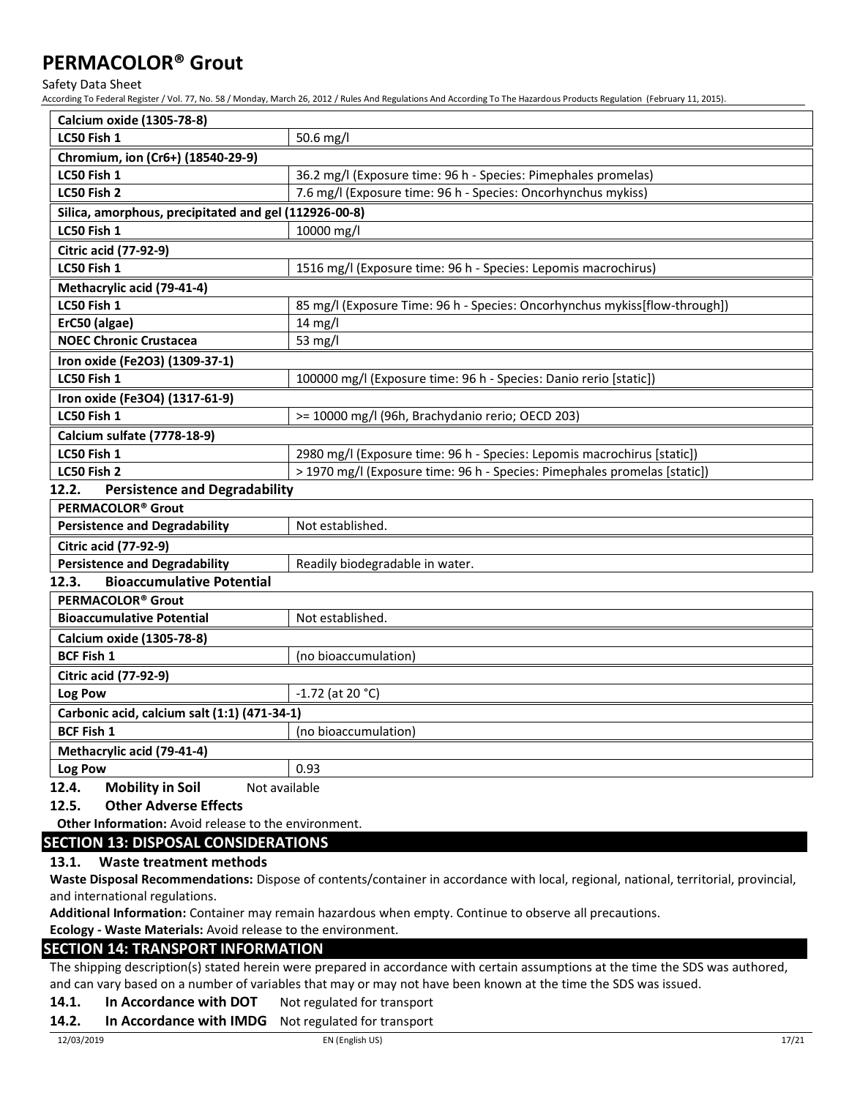Safety Data Sheet

According To Federal Register / Vol. 77, No. 58 / Monday, March 26, 2012 / Rules And Regulations And According To The Hazardous Products Regulation (February 11, 2015).

| Calcium oxide (1305-78-8)                             |                                                                            |  |
|-------------------------------------------------------|----------------------------------------------------------------------------|--|
| LC50 Fish 1                                           | 50.6 mg/l                                                                  |  |
| Chromium, ion (Cr6+) (18540-29-9)                     |                                                                            |  |
| LC50 Fish 1                                           | 36.2 mg/l (Exposure time: 96 h - Species: Pimephales promelas)             |  |
| LC50 Fish 2                                           | 7.6 mg/l (Exposure time: 96 h - Species: Oncorhynchus mykiss)              |  |
| Silica, amorphous, precipitated and gel (112926-00-8) |                                                                            |  |
| LC50 Fish 1                                           | 10000 mg/l                                                                 |  |
| <b>Citric acid (77-92-9)</b>                          |                                                                            |  |
| LC50 Fish 1                                           | 1516 mg/l (Exposure time: 96 h - Species: Lepomis macrochirus)             |  |
| Methacrylic acid (79-41-4)                            |                                                                            |  |
| LC50 Fish 1                                           | 85 mg/l (Exposure Time: 96 h - Species: Oncorhynchus mykiss[flow-through]) |  |
| ErC50 (algae)                                         | $14$ mg/l                                                                  |  |
| <b>NOEC Chronic Crustacea</b>                         | 53 mg/l                                                                    |  |
| Iron oxide (Fe2O3) (1309-37-1)                        |                                                                            |  |
| LC50 Fish 1                                           | 100000 mg/l (Exposure time: 96 h - Species: Danio rerio [static])          |  |
| Iron oxide (Fe3O4) (1317-61-9)                        |                                                                            |  |
| LC50 Fish 1                                           | >= 10000 mg/l (96h, Brachydanio rerio; OECD 203)                           |  |
| Calcium sulfate (7778-18-9)                           |                                                                            |  |
| LC50 Fish 1                                           | 2980 mg/l (Exposure time: 96 h - Species: Lepomis macrochirus [static])    |  |
| LC50 Fish 2                                           | > 1970 mg/l (Exposure time: 96 h - Species: Pimephales promelas [static])  |  |
| 12.2.<br><b>Persistence and Degradability</b>         |                                                                            |  |
| PERMACOLOR <sup>®</sup> Grout                         |                                                                            |  |
| <b>Persistence and Degradability</b>                  | Not established.                                                           |  |
| <b>Citric acid (77-92-9)</b>                          |                                                                            |  |
| <b>Persistence and Degradability</b>                  | Readily biodegradable in water.                                            |  |
| <b>Bioaccumulative Potential</b><br>12.3.             |                                                                            |  |
| PERMACOLOR <sup>®</sup> Grout                         |                                                                            |  |
| <b>Bioaccumulative Potential</b>                      | Not established.                                                           |  |
| <b>Calcium oxide (1305-78-8)</b>                      |                                                                            |  |
| <b>BCF Fish 1</b>                                     | (no bioaccumulation)                                                       |  |
| <b>Citric acid (77-92-9)</b>                          |                                                                            |  |
| Log Pow                                               | $-1.72$ (at 20 °C)                                                         |  |
| Carbonic acid, calcium salt (1:1) (471-34-1)          |                                                                            |  |
| <b>BCF Fish 1</b>                                     | (no bioaccumulation)                                                       |  |
| Methacrylic acid (79-41-4)                            |                                                                            |  |

### **Log Pow** 0.93 **12.4.** Mobility in Soil Not available

### **12.5. Other Adverse Effects**

**Other Information:** Avoid release to the environment.

### **SECTION 13: DISPOSAL CONSIDERATIONS**

### **13.1. Waste treatment methods**

**Waste Disposal Recommendations:** Dispose of contents/container in accordance with local, regional, national, territorial, provincial, and international regulations.

**Additional Information:** Container may remain hazardous when empty. Continue to observe all precautions.

### **Ecology - Waste Materials:** Avoid release to the environment.

### **SECTION 14: TRANSPORT INFORMATION**

The shipping description(s) stated herein were prepared in accordance with certain assumptions at the time the SDS was authored, and can vary based on a number of variables that may or may not have been known at the time the SDS was issued.

### 14.1. In Accordance with DOT Not regulated for transport

### **14.2. In Accordance with IMDG** Not regulated for transport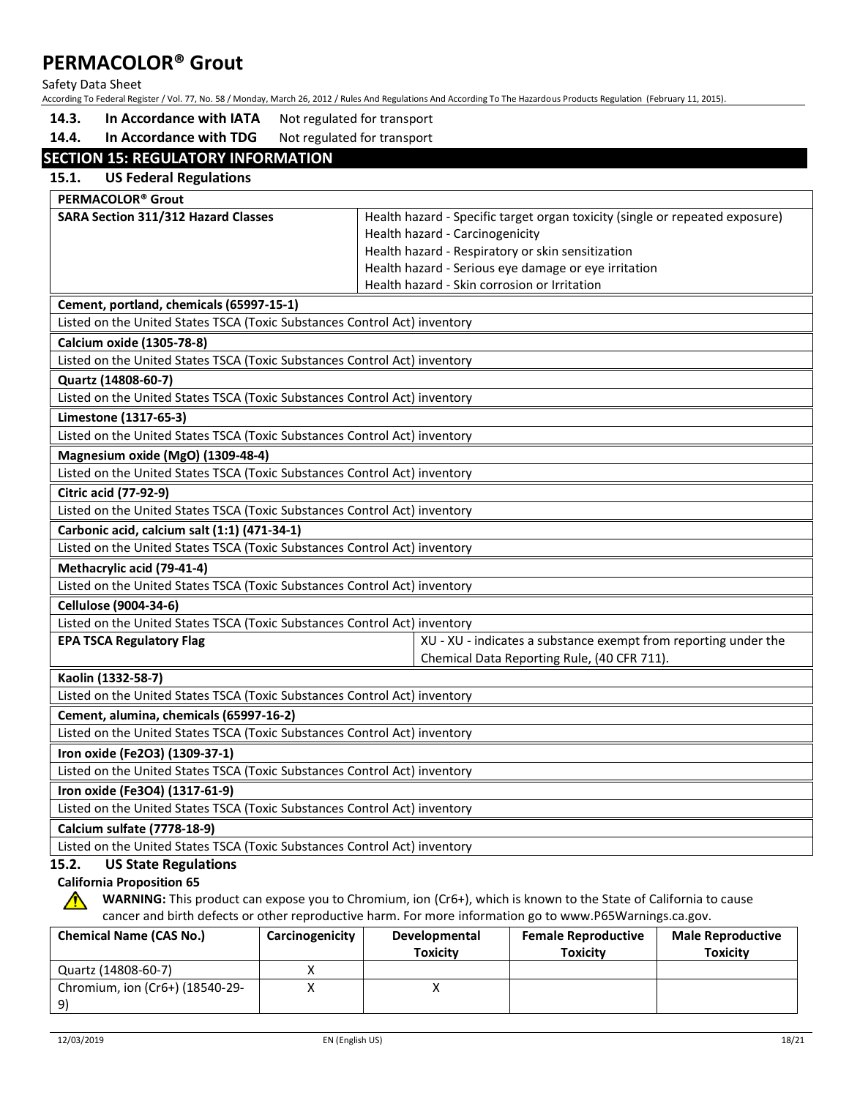Safety Data Sheet

According To Federal Register / Vol. 77, No. 58 / Monday, March 26, 2012 / Rules And Regulations And According To The Hazardous Products Regulation (February 11, 2015).

14.3. In Accordance with IATA Not regulated for transport

14.4. In Accordance with TDG Not regulated for transport

### **SECTION 15: REGULATORY INFORMATION**

| 15.1.<br><b>US Federal Regulations</b>                                    |                                                                              |
|---------------------------------------------------------------------------|------------------------------------------------------------------------------|
| PERMACOLOR <sup>®</sup> Grout                                             |                                                                              |
| <b>SARA Section 311/312 Hazard Classes</b>                                | Health hazard - Specific target organ toxicity (single or repeated exposure) |
|                                                                           | Health hazard - Carcinogenicity                                              |
|                                                                           | Health hazard - Respiratory or skin sensitization                            |
|                                                                           | Health hazard - Serious eye damage or eye irritation                         |
|                                                                           | Health hazard - Skin corrosion or Irritation                                 |
| Cement, portland, chemicals (65997-15-1)                                  |                                                                              |
| Listed on the United States TSCA (Toxic Substances Control Act) inventory |                                                                              |
| <b>Calcium oxide (1305-78-8)</b>                                          |                                                                              |
| Listed on the United States TSCA (Toxic Substances Control Act) inventory |                                                                              |
| Quartz (14808-60-7)                                                       |                                                                              |
| Listed on the United States TSCA (Toxic Substances Control Act) inventory |                                                                              |
| Limestone (1317-65-3)                                                     |                                                                              |
| Listed on the United States TSCA (Toxic Substances Control Act) inventory |                                                                              |
| Magnesium oxide (MgO) (1309-48-4)                                         |                                                                              |
| Listed on the United States TSCA (Toxic Substances Control Act) inventory |                                                                              |
| <b>Citric acid (77-92-9)</b>                                              |                                                                              |
| Listed on the United States TSCA (Toxic Substances Control Act) inventory |                                                                              |
| Carbonic acid, calcium salt (1:1) (471-34-1)                              |                                                                              |
| Listed on the United States TSCA (Toxic Substances Control Act) inventory |                                                                              |
| Methacrylic acid (79-41-4)                                                |                                                                              |
| Listed on the United States TSCA (Toxic Substances Control Act) inventory |                                                                              |
| Cellulose (9004-34-6)                                                     |                                                                              |
| Listed on the United States TSCA (Toxic Substances Control Act) inventory |                                                                              |
| <b>EPA TSCA Regulatory Flag</b>                                           | XU - XU - indicates a substance exempt from reporting under the              |
|                                                                           | Chemical Data Reporting Rule, (40 CFR 711).                                  |
| Kaolin (1332-58-7)                                                        |                                                                              |
| Listed on the United States TSCA (Toxic Substances Control Act) inventory |                                                                              |
| Cement, alumina, chemicals (65997-16-2)                                   |                                                                              |
| Listed on the United States TSCA (Toxic Substances Control Act) inventory |                                                                              |
| Iron oxide (Fe2O3) (1309-37-1)                                            |                                                                              |
| Listed on the United States TSCA (Toxic Substances Control Act) inventory |                                                                              |
| Iron oxide (Fe3O4) (1317-61-9)                                            |                                                                              |
| Listed on the United States TSCA (Toxic Substances Control Act) inventory |                                                                              |
| Calcium sulfate (7778-18-9)                                               |                                                                              |
| Listed on the United States TSCA (Toxic Substances Control Act) inventory |                                                                              |
| <b>US State Regulations</b><br>15.2.                                      |                                                                              |

### **California Proposition 65**

**WARNING:** This product can expose you to Chromium, ion (Cr6+), which is known to the State of California to cause cancer and birth defects or other reproductive harm. For more information go to www.P65Warnings.ca.gov.

| <b>Chemical Name (CAS No.)</b>  | Carcinogenicity | Developmental   | <b>Female Reproductive</b> | <b>Male Reproductive</b> |
|---------------------------------|-----------------|-----------------|----------------------------|--------------------------|
|                                 |                 | <b>Toxicity</b> | <b>Toxicity</b>            | <b>Toxicity</b>          |
| Quartz (14808-60-7)             |                 |                 |                            |                          |
| Chromium, ion (Cr6+) (18540-29- |                 |                 |                            |                          |
|                                 |                 |                 |                            |                          |

∕∿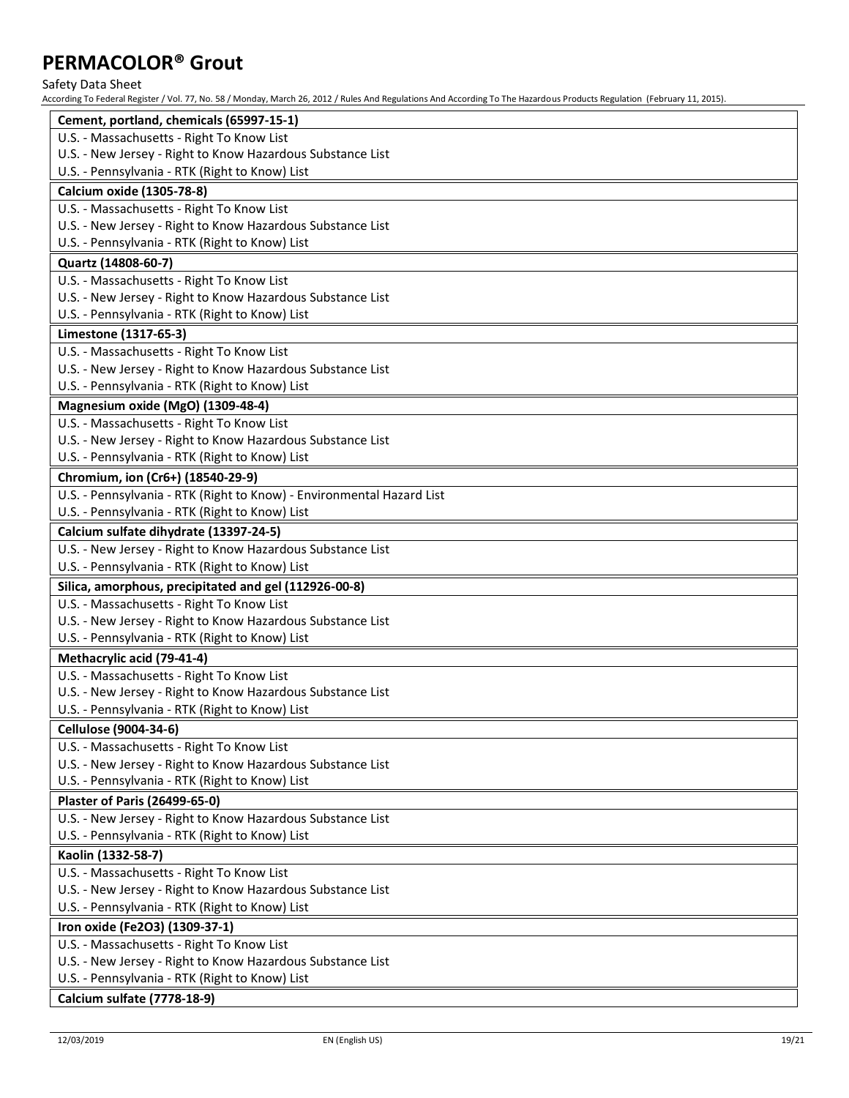Safety Data Sheet

| According To Federal Register / Vol. 77, No. 58 / Monday, March 26, 2012 / Rules And Regulations And According To The Hazardous Products Regulation (February 11, 2015). |
|--------------------------------------------------------------------------------------------------------------------------------------------------------------------------|
| Cement, portland, chemicals (65997-15-1)                                                                                                                                 |
| U.S. - Massachusetts - Right To Know List                                                                                                                                |
| U.S. - New Jersey - Right to Know Hazardous Substance List                                                                                                               |
| U.S. - Pennsylvania - RTK (Right to Know) List                                                                                                                           |
| Calcium oxide (1305-78-8)                                                                                                                                                |
| U.S. - Massachusetts - Right To Know List                                                                                                                                |
| U.S. - New Jersey - Right to Know Hazardous Substance List                                                                                                               |
| U.S. - Pennsylvania - RTK (Right to Know) List                                                                                                                           |
| Quartz (14808-60-7)                                                                                                                                                      |
| U.S. - Massachusetts - Right To Know List                                                                                                                                |
| U.S. - New Jersey - Right to Know Hazardous Substance List                                                                                                               |
| U.S. - Pennsylvania - RTK (Right to Know) List                                                                                                                           |
| Limestone (1317-65-3)                                                                                                                                                    |
| U.S. - Massachusetts - Right To Know List                                                                                                                                |
| U.S. - New Jersey - Right to Know Hazardous Substance List                                                                                                               |
| U.S. - Pennsylvania - RTK (Right to Know) List                                                                                                                           |
| Magnesium oxide (MgO) (1309-48-4)                                                                                                                                        |
| U.S. - Massachusetts - Right To Know List                                                                                                                                |
| U.S. - New Jersey - Right to Know Hazardous Substance List                                                                                                               |
| U.S. - Pennsylvania - RTK (Right to Know) List                                                                                                                           |
| Chromium, ion (Cr6+) (18540-29-9)                                                                                                                                        |
| U.S. - Pennsylvania - RTK (Right to Know) - Environmental Hazard List                                                                                                    |
| U.S. - Pennsylvania - RTK (Right to Know) List                                                                                                                           |
| Calcium sulfate dihydrate (13397-24-5)                                                                                                                                   |
| U.S. - New Jersey - Right to Know Hazardous Substance List                                                                                                               |
| U.S. - Pennsylvania - RTK (Right to Know) List                                                                                                                           |
| Silica, amorphous, precipitated and gel (112926-00-8)                                                                                                                    |
| U.S. - Massachusetts - Right To Know List                                                                                                                                |
| U.S. - New Jersey - Right to Know Hazardous Substance List                                                                                                               |
| U.S. - Pennsylvania - RTK (Right to Know) List                                                                                                                           |
| Methacrylic acid (79-41-4)                                                                                                                                               |
| U.S. - Massachusetts - Right To Know List                                                                                                                                |
| U.S. - New Jersey - Right to Know Hazardous Substance List                                                                                                               |
| U.S. - Pennsylvania - RTK (Right to Know) List                                                                                                                           |
| Cellulose (9004-34-6)                                                                                                                                                    |
| U.S. - Massachusetts - Right To Know List                                                                                                                                |
| U.S. - New Jersey - Right to Know Hazardous Substance List                                                                                                               |
| U.S. - Pennsylvania - RTK (Right to Know) List                                                                                                                           |
| <b>Plaster of Paris (26499-65-0)</b>                                                                                                                                     |
| U.S. - New Jersey - Right to Know Hazardous Substance List                                                                                                               |
| U.S. - Pennsylvania - RTK (Right to Know) List                                                                                                                           |
| Kaolin (1332-58-7)                                                                                                                                                       |
| U.S. - Massachusetts - Right To Know List                                                                                                                                |
| U.S. - New Jersey - Right to Know Hazardous Substance List                                                                                                               |
| U.S. - Pennsylvania - RTK (Right to Know) List                                                                                                                           |
| Iron oxide (Fe2O3) (1309-37-1)                                                                                                                                           |
| U.S. - Massachusetts - Right To Know List                                                                                                                                |
| U.S. - New Jersey - Right to Know Hazardous Substance List                                                                                                               |
| U.S. - Pennsylvania - RTK (Right to Know) List                                                                                                                           |
| <b>Calcium sulfate (7778-18-9)</b>                                                                                                                                       |
|                                                                                                                                                                          |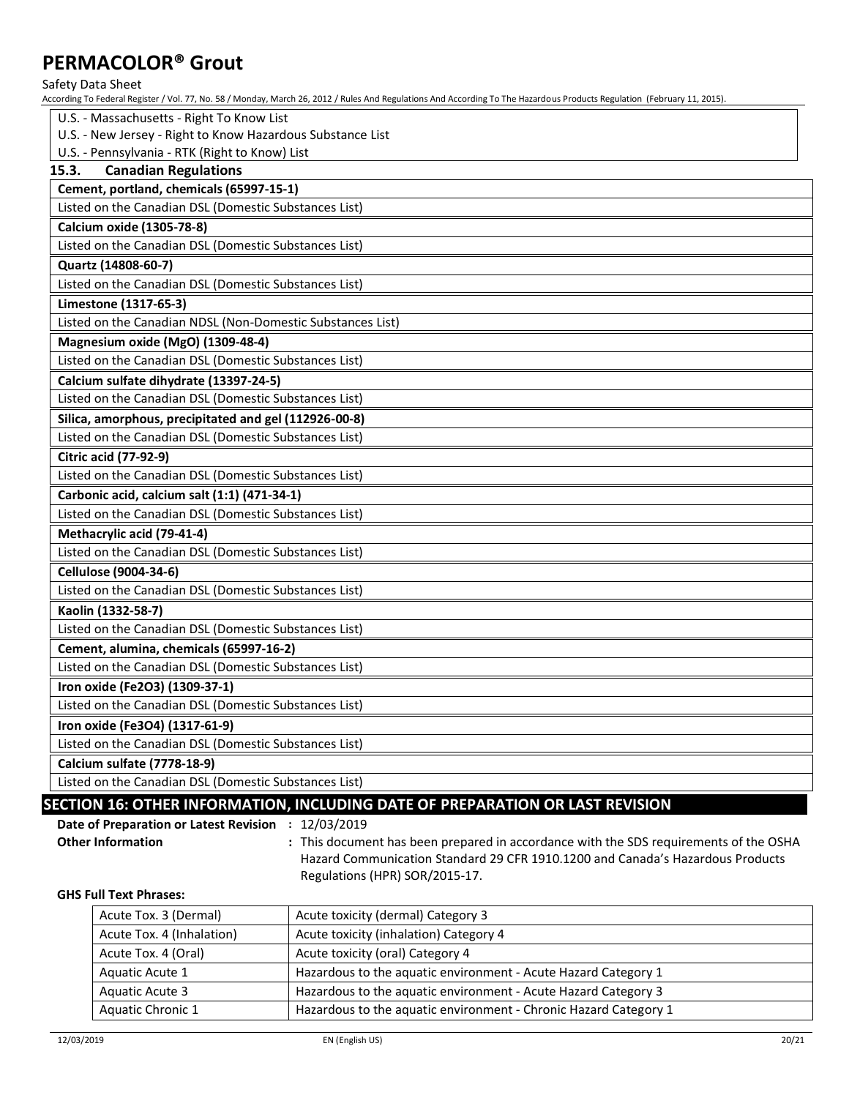#### Safety Data Sheet

According To Federal Register / Vol. 77, No. 58 / Monday, March 26, 2012 / Rules And Regulations And According To The Hazardous Products Regulation (February 11, 2015).

| U.S. - Massachusetts - Right To Know List                  |
|------------------------------------------------------------|
| U.S. - New Jersey - Right to Know Hazardous Substance List |
| U.S. - Pennsylvania - RTK (Right to Know) List             |
| <b>Canadian Regulations</b><br>15.3.                       |
| Cement, portland, chemicals (65997-15-1)                   |
| Listed on the Canadian DSL (Domestic Substances List)      |
| <b>Calcium oxide (1305-78-8)</b>                           |
| Listed on the Canadian DSL (Domestic Substances List)      |
| Quartz (14808-60-7)                                        |
| Listed on the Canadian DSL (Domestic Substances List)      |
| Limestone (1317-65-3)                                      |
| Listed on the Canadian NDSL (Non-Domestic Substances List) |
| Magnesium oxide (MgO) (1309-48-4)                          |
| Listed on the Canadian DSL (Domestic Substances List)      |
| Calcium sulfate dihydrate (13397-24-5)                     |
| Listed on the Canadian DSL (Domestic Substances List)      |
| Silica, amorphous, precipitated and gel (112926-00-8)      |
| Listed on the Canadian DSL (Domestic Substances List)      |
| <b>Citric acid (77-92-9)</b>                               |
| Listed on the Canadian DSL (Domestic Substances List)      |
| Carbonic acid, calcium salt (1:1) (471-34-1)               |
| Listed on the Canadian DSL (Domestic Substances List)      |
| Methacrylic acid (79-41-4)                                 |
| Listed on the Canadian DSL (Domestic Substances List)      |
| Cellulose (9004-34-6)                                      |
| Listed on the Canadian DSL (Domestic Substances List)      |
| Kaolin (1332-58-7)                                         |
| Listed on the Canadian DSL (Domestic Substances List)      |
| Cement, alumina, chemicals (65997-16-2)                    |
| Listed on the Canadian DSL (Domestic Substances List)      |
| Iron oxide (Fe2O3) (1309-37-1)                             |
| Listed on the Canadian DSL (Domestic Substances List)      |
| Iron oxide (Fe3O4) (1317-61-9)                             |
| Listed on the Canadian DSL (Domestic Substances List)      |
| Calcium sulfate (7778-18-9)                                |
| Listed on the Canadian DSL (Domestic Substances List)      |

### **SECTION 16: OTHER INFORMATION, INCLUDING DATE OF PREPARATION OR LAST REVISION**

**Date of Preparation or Latest Revision :** 12/03/2019

**Other Information :** This document has been prepared in accordance with the SDS requirements of the OSHA Hazard Communication Standard 29 CFR 1910.1200 and Canada's Hazardous Products Regulations (HPR) SOR/2015-17.

**GHS Full Text Phrases:**

| Acute Tox. 3 (Dermal)     | Acute toxicity (dermal) Category 3                               |
|---------------------------|------------------------------------------------------------------|
| Acute Tox. 4 (Inhalation) | Acute toxicity (inhalation) Category 4                           |
| Acute Tox. 4 (Oral)       | Acute toxicity (oral) Category 4                                 |
| Aquatic Acute 1           | Hazardous to the aquatic environment - Acute Hazard Category 1   |
| Aquatic Acute 3           | Hazardous to the aquatic environment - Acute Hazard Category 3   |
| Aquatic Chronic 1         | Hazardous to the aquatic environment - Chronic Hazard Category 1 |